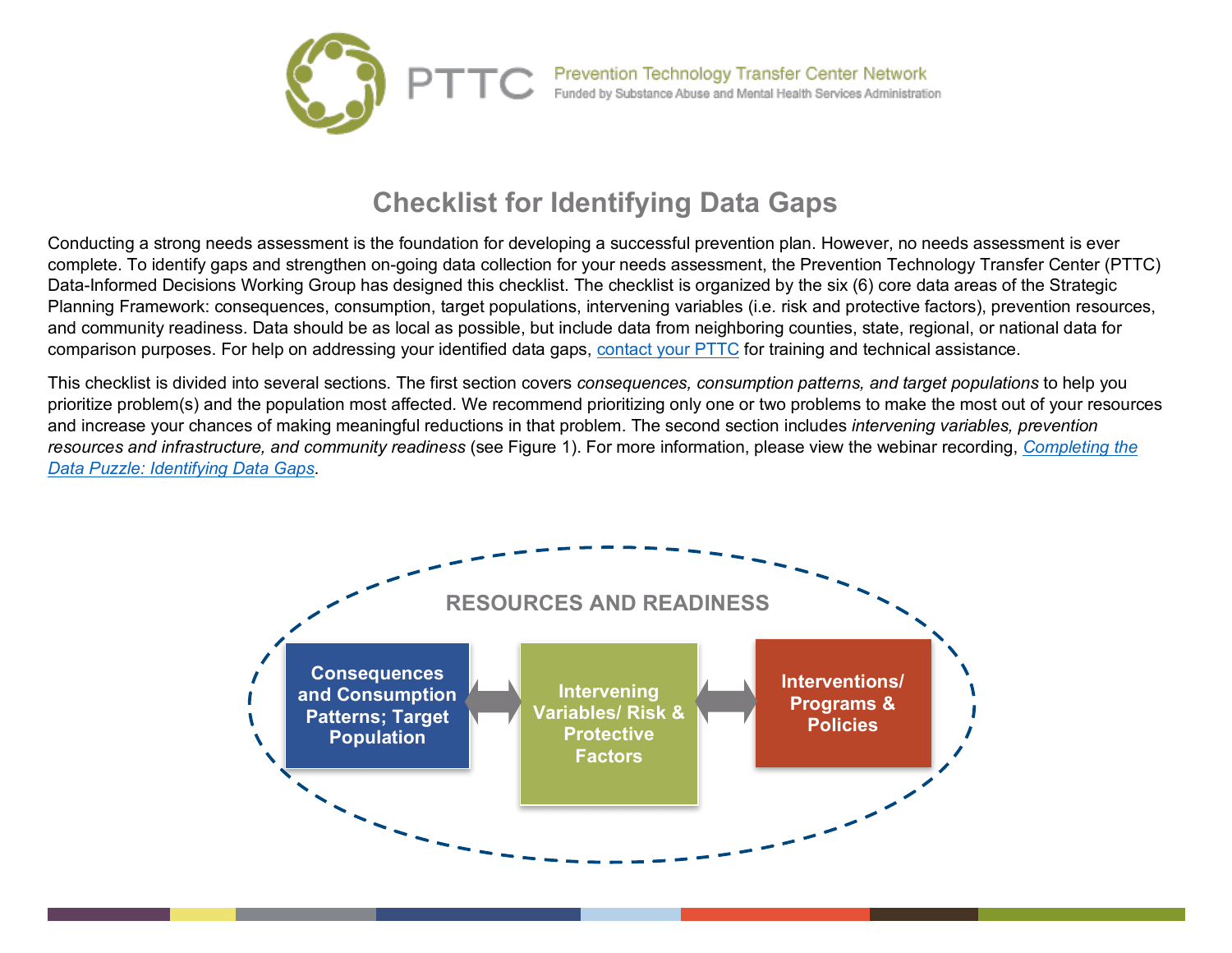

## **Checklist for Identifying Data Gaps**

Conducting a strong needs assessment is the foundation for developing a successful prevention plan. However, no needs assessment is ever complete. To identify gaps and strengthen on-going data collection for your needs assessment, the Prevention Technology Transfer Center (PTTC) Data-Informed Decisions Working Group has designed this checklist. The checklist is organized by the six (6) core data areas of the Strategic Planning Framework: consequences, consumption, target populations, intervening variables (i.e. risk and protective factors), prevention resources, and community readiness. Data should be as local as possible, but include data from neighboring counties, state, regional, or national data for comparison purposes. For help on addressing your identified data gaps, [contact your PTTC](https://pttcnetwork.org/centers/selection) for training and technical assistance.

This checklist is divided into several sections. The first section covers *consequences, consumption patterns, and target populations* to help you prioritize problem(s) and the population most affected. We recommend prioritizing only one or two problems to make the most out of your resources and increase your chances of making meaningful reductions in that problem. The second section includes *intervening variables, prevention resources and infrastructure, and community readiness* (see Figure 1). For more information, please view the webinar recording, *[Completing the](https://pttcnetwork.org/centers/global-pttc/product/completing-data-puzzle-identifying-assessment-gaps)  [Data Puzzle: Identifying Data Gaps](https://pttcnetwork.org/centers/global-pttc/product/completing-data-puzzle-identifying-assessment-gaps)*.

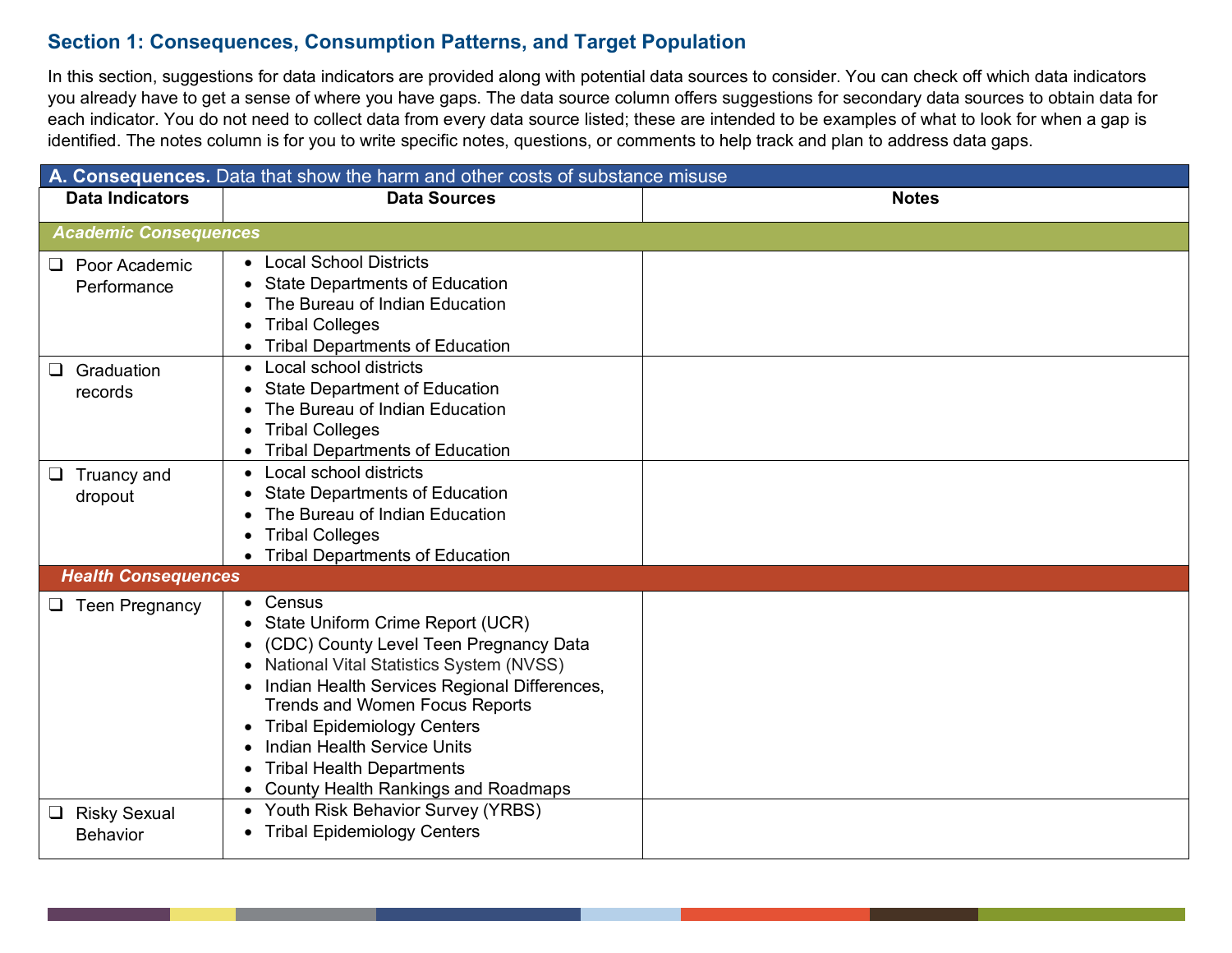## **Section 1: Consequences, Consumption Patterns, and Target Population**

In this section, suggestions for data indicators are provided along with potential data sources to consider. You can check off which data indicators you already have to get a sense of where you have gaps. The data source column offers suggestions for secondary data sources to obtain data for each indicator. You do not need to collect data from every data source listed; these are intended to be examples of what to look for when a gap is identified. The notes column is for you to write specific notes, questions, or comments to help track and plan to address data gaps.

| A. Consequences. Data that show the harm and other costs of substance misuse |                                                                                                                                                                                                                                                                                                                                                                                                     |              |  |  |
|------------------------------------------------------------------------------|-----------------------------------------------------------------------------------------------------------------------------------------------------------------------------------------------------------------------------------------------------------------------------------------------------------------------------------------------------------------------------------------------------|--------------|--|--|
| <b>Data Indicators</b>                                                       | <b>Data Sources</b>                                                                                                                                                                                                                                                                                                                                                                                 | <b>Notes</b> |  |  |
| <b>Academic Consequences</b>                                                 |                                                                                                                                                                                                                                                                                                                                                                                                     |              |  |  |
| $\Box$ Poor Academic<br>Performance                                          | • Local School Districts<br><b>State Departments of Education</b><br>The Bureau of Indian Education<br><b>Tribal Colleges</b><br><b>Tribal Departments of Education</b>                                                                                                                                                                                                                             |              |  |  |
| Graduation<br>$\Box$<br>records                                              | Local school districts<br><b>State Department of Education</b><br>The Bureau of Indian Education<br><b>Tribal Colleges</b><br><b>Tribal Departments of Education</b>                                                                                                                                                                                                                                |              |  |  |
| $\Box$ Truancy and<br>dropout                                                | Local school districts<br><b>State Departments of Education</b><br>The Bureau of Indian Education<br><b>Tribal Colleges</b><br><b>Tribal Departments of Education</b>                                                                                                                                                                                                                               |              |  |  |
| <b>Health Consequences</b>                                                   |                                                                                                                                                                                                                                                                                                                                                                                                     |              |  |  |
| $\Box$ Teen Pregnancy                                                        | Census<br>State Uniform Crime Report (UCR)<br>(CDC) County Level Teen Pregnancy Data<br>National Vital Statistics System (NVSS)<br>Indian Health Services Regional Differences,<br><b>Trends and Women Focus Reports</b><br><b>Tribal Epidemiology Centers</b><br>$\bullet$<br><b>Indian Health Service Units</b><br><b>Tribal Health Departments</b><br><b>County Health Rankings and Roadmaps</b> |              |  |  |
| $\Box$ Risky Sexual<br><b>Behavior</b>                                       | Youth Risk Behavior Survey (YRBS)<br>$\bullet$<br><b>Tribal Epidemiology Centers</b>                                                                                                                                                                                                                                                                                                                |              |  |  |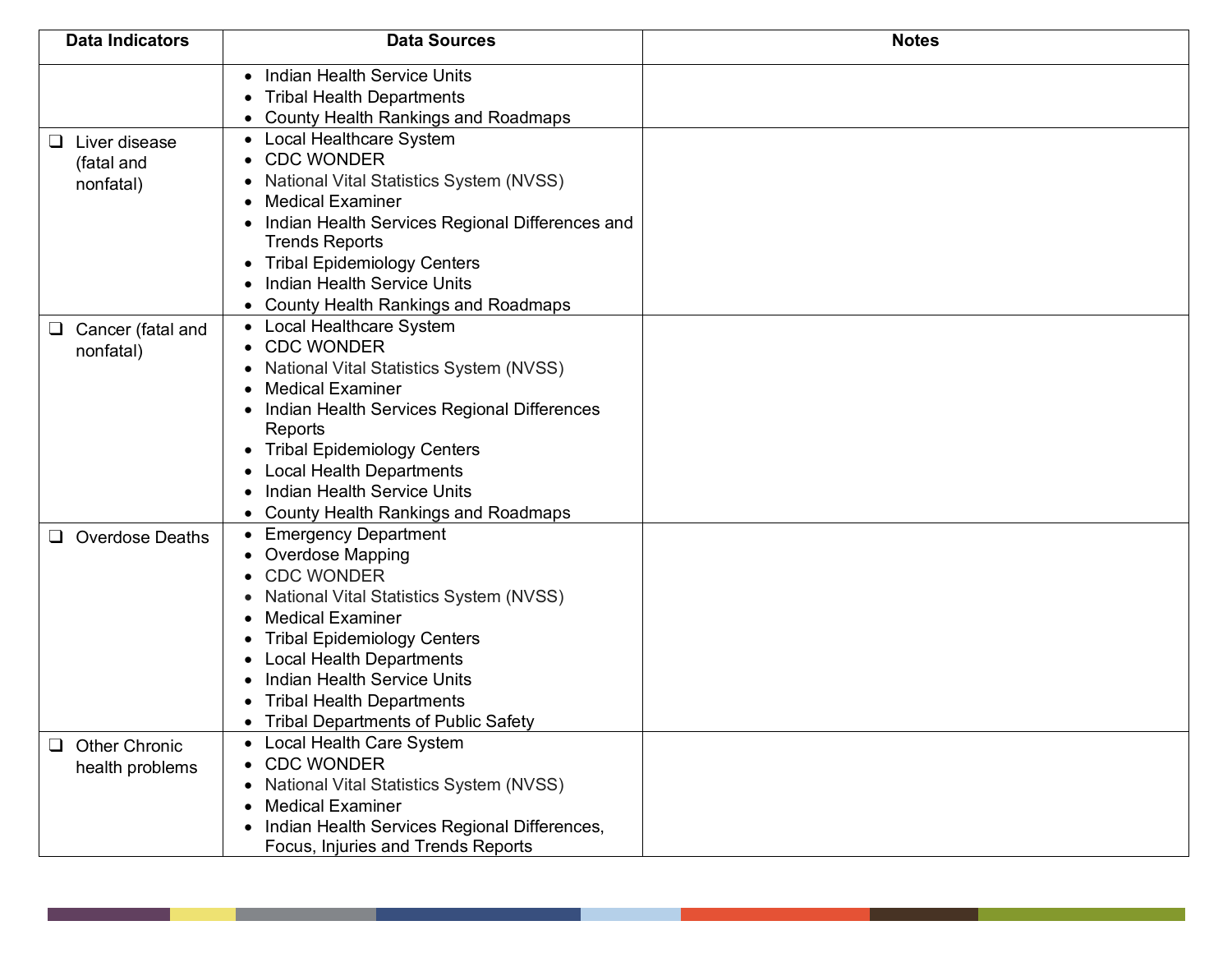| <b>Data Indicators</b>                            | <b>Data Sources</b>                                                                                                                                                                                                                                                                                                                                                                           | <b>Notes</b> |
|---------------------------------------------------|-----------------------------------------------------------------------------------------------------------------------------------------------------------------------------------------------------------------------------------------------------------------------------------------------------------------------------------------------------------------------------------------------|--------------|
|                                                   | <b>Indian Health Service Units</b><br><b>Tribal Health Departments</b><br><b>County Health Rankings and Roadmaps</b>                                                                                                                                                                                                                                                                          |              |
| Liver disease<br>⊔<br>(fatal and<br>nonfatal)     | Local Healthcare System<br><b>CDC WONDER</b><br>National Vital Statistics System (NVSS)<br><b>Medical Examiner</b><br>Indian Health Services Regional Differences and<br><b>Trends Reports</b><br><b>Tribal Epidemiology Centers</b><br>Indian Health Service Units                                                                                                                           |              |
| Cancer (fatal and<br>$\Box$<br>nonfatal)          | <b>County Health Rankings and Roadmaps</b><br>Local Healthcare System<br>$\bullet$<br><b>CDC WONDER</b><br>National Vital Statistics System (NVSS)<br><b>Medical Examiner</b><br>Indian Health Services Regional Differences<br>Reports<br><b>Tribal Epidemiology Centers</b><br><b>Local Health Departments</b><br>Indian Health Service Units<br><b>County Health Rankings and Roadmaps</b> |              |
| <b>Overdose Deaths</b><br>$\Box$                  | <b>Emergency Department</b><br><b>Overdose Mapping</b><br><b>CDC WONDER</b><br>National Vital Statistics System (NVSS)<br><b>Medical Examiner</b><br><b>Tribal Epidemiology Centers</b><br><b>Local Health Departments</b><br>Indian Health Service Units<br><b>Tribal Health Departments</b><br><b>Tribal Departments of Public Safety</b>                                                   |              |
| <b>Other Chronic</b><br>$\Box$<br>health problems | Local Health Care System<br><b>CDC WONDER</b><br>National Vital Statistics System (NVSS)<br><b>Medical Examiner</b><br>Indian Health Services Regional Differences,<br>Focus, Injuries and Trends Reports                                                                                                                                                                                     |              |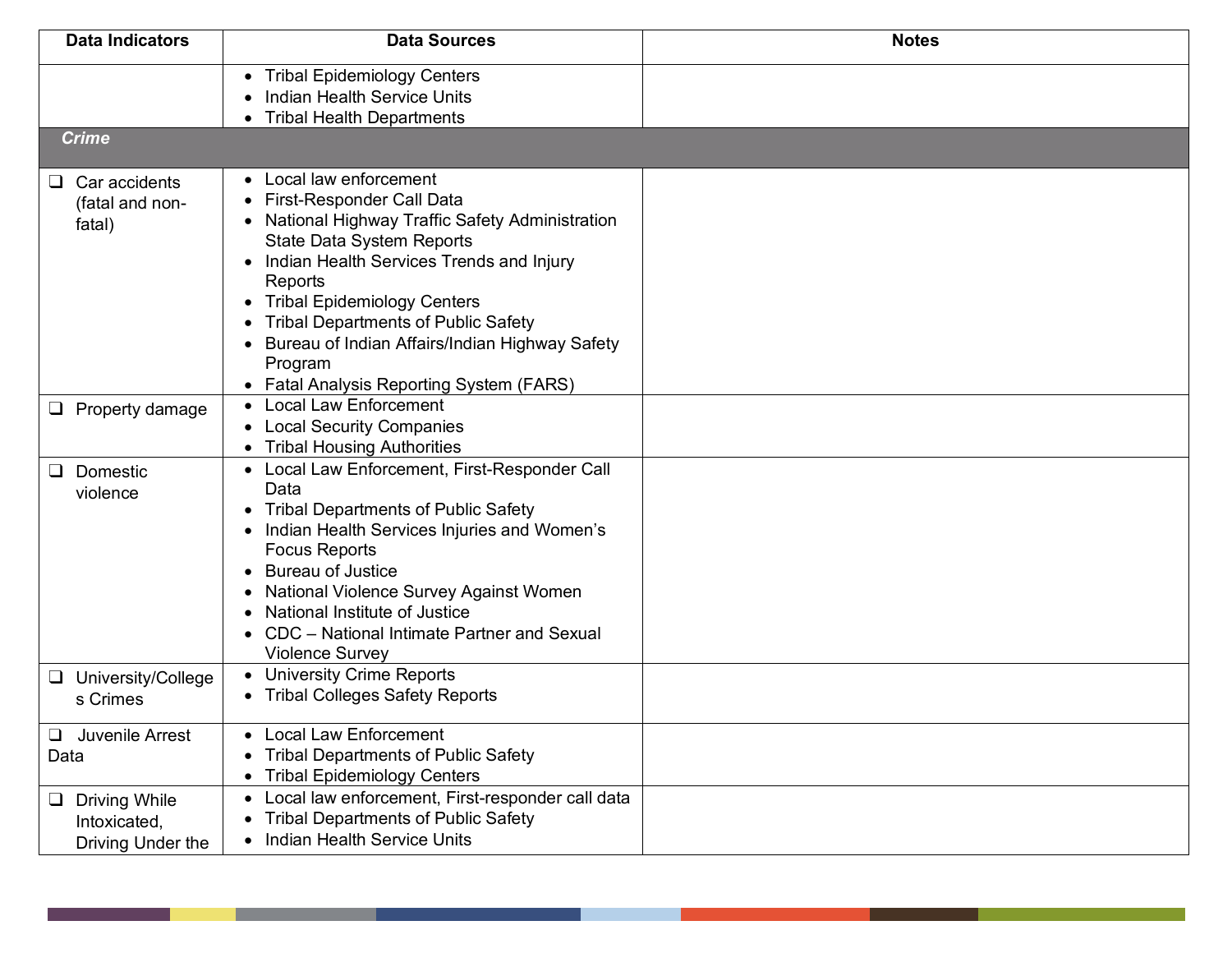| <b>Data Indicators</b>                                    | <b>Data Sources</b>                                                                                                                                                                                                                                                                                                                                                                                                                                                                            | <b>Notes</b> |
|-----------------------------------------------------------|------------------------------------------------------------------------------------------------------------------------------------------------------------------------------------------------------------------------------------------------------------------------------------------------------------------------------------------------------------------------------------------------------------------------------------------------------------------------------------------------|--------------|
|                                                           | <b>Tribal Epidemiology Centers</b><br>$\bullet$<br><b>Indian Health Service Units</b><br><b>Tribal Health Departments</b><br>$\bullet$                                                                                                                                                                                                                                                                                                                                                         |              |
| <b>Crime</b>                                              |                                                                                                                                                                                                                                                                                                                                                                                                                                                                                                |              |
| $\Box$ Car accidents<br>(fatal and non-<br>fatal)         | Local law enforcement<br>$\bullet$<br><b>First-Responder Call Data</b><br>$\bullet$<br>• National Highway Traffic Safety Administration<br><b>State Data System Reports</b><br>Indian Health Services Trends and Injury<br>$\bullet$<br>Reports<br><b>Tribal Epidemiology Centers</b><br>$\bullet$<br><b>Tribal Departments of Public Safety</b><br>$\bullet$<br>Bureau of Indian Affairs/Indian Highway Safety<br>$\bullet$<br>Program<br>Fatal Analysis Reporting System (FARS)<br>$\bullet$ |              |
| $\Box$ Property damage                                    | <b>Local Law Enforcement</b><br><b>Local Security Companies</b><br>$\bullet$<br><b>Tribal Housing Authorities</b>                                                                                                                                                                                                                                                                                                                                                                              |              |
| $\Box$ Domestic<br>violence                               | Local Law Enforcement, First-Responder Call<br>Data<br><b>Tribal Departments of Public Safety</b><br>$\bullet$<br>Indian Health Services Injuries and Women's<br>$\bullet$<br><b>Focus Reports</b><br><b>Bureau of Justice</b><br>$\bullet$<br>National Violence Survey Against Women<br>$\bullet$<br>National Institute of Justice<br>$\bullet$<br>CDC - National Intimate Partner and Sexual<br><b>Violence Survey</b>                                                                       |              |
| □ University/College<br>s Crimes                          | <b>University Crime Reports</b><br>• Tribal Colleges Safety Reports                                                                                                                                                                                                                                                                                                                                                                                                                            |              |
| Juvenile Arrest<br>$\Box$<br>Data                         | <b>Local Law Enforcement</b><br>$\bullet$<br><b>Tribal Departments of Public Safety</b><br>$\bullet$<br><b>Tribal Epidemiology Centers</b><br>$\bullet$                                                                                                                                                                                                                                                                                                                                        |              |
| $\Box$ Driving While<br>Intoxicated,<br>Driving Under the | Local law enforcement, First-responder call data<br>$\bullet$<br><b>Tribal Departments of Public Safety</b><br>$\bullet$<br>Indian Health Service Units<br>$\bullet$                                                                                                                                                                                                                                                                                                                           |              |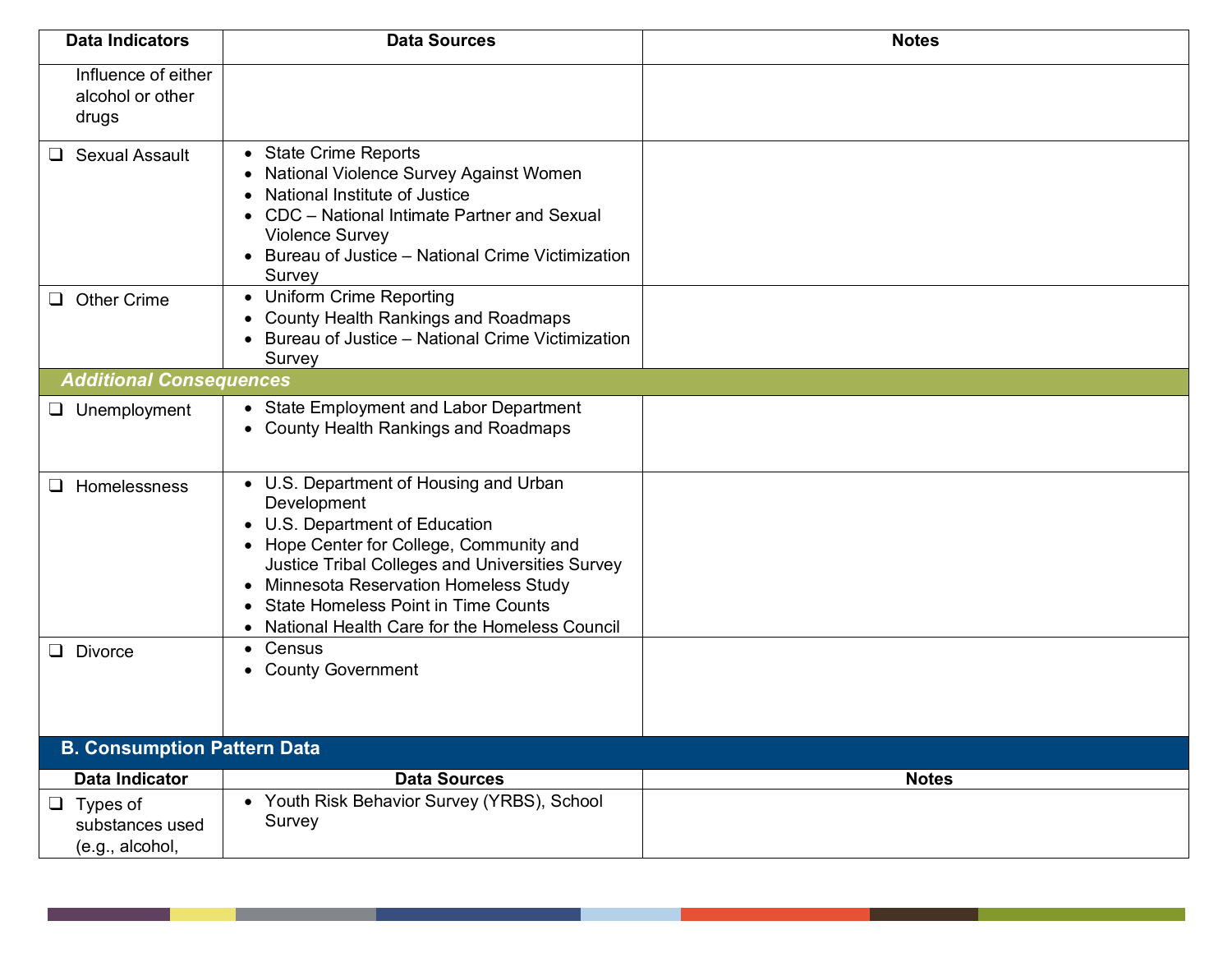| <b>Data Indicators</b>                                | <b>Data Sources</b>                                                                                                                                                                                                                                                                                                                                     | <b>Notes</b> |  |  |
|-------------------------------------------------------|---------------------------------------------------------------------------------------------------------------------------------------------------------------------------------------------------------------------------------------------------------------------------------------------------------------------------------------------------------|--------------|--|--|
| Influence of either<br>alcohol or other<br>drugs      |                                                                                                                                                                                                                                                                                                                                                         |              |  |  |
| <b>Sexual Assault</b><br>⊔.                           | • State Crime Reports<br>National Violence Survey Against Women<br>$\bullet$<br>National Institute of Justice<br>$\bullet$<br>CDC - National Intimate Partner and Sexual<br><b>Violence Survey</b><br>• Bureau of Justice - National Crime Victimization<br>Survey                                                                                      |              |  |  |
| <b>Other Crime</b><br>⊔                               | <b>Uniform Crime Reporting</b><br>$\bullet$<br><b>County Health Rankings and Roadmaps</b><br>Bureau of Justice - National Crime Victimization<br>Survey                                                                                                                                                                                                 |              |  |  |
| <b>Additional Consequences</b>                        |                                                                                                                                                                                                                                                                                                                                                         |              |  |  |
| $\Box$ Unemployment                                   | • State Employment and Labor Department<br>• County Health Rankings and Roadmaps                                                                                                                                                                                                                                                                        |              |  |  |
| Homelessness<br>⊔.                                    | • U.S. Department of Housing and Urban<br>Development<br>U.S. Department of Education<br>$\bullet$<br>• Hope Center for College, Community and<br>Justice Tribal Colleges and Universities Survey<br>• Minnesota Reservation Homeless Study<br><b>State Homeless Point in Time Counts</b><br>$\bullet$<br>National Health Care for the Homeless Council |              |  |  |
| <b>Divorce</b><br>$\Box$                              | Census<br>$\bullet$<br><b>County Government</b><br>$\bullet$                                                                                                                                                                                                                                                                                            |              |  |  |
| <b>B. Consumption Pattern Data</b>                    |                                                                                                                                                                                                                                                                                                                                                         |              |  |  |
| Data Indicator                                        | <b>Data Sources</b>                                                                                                                                                                                                                                                                                                                                     | <b>Notes</b> |  |  |
| $\Box$ Types of<br>substances used<br>(e.g., alcohol, | • Youth Risk Behavior Survey (YRBS), School<br>Survey                                                                                                                                                                                                                                                                                                   |              |  |  |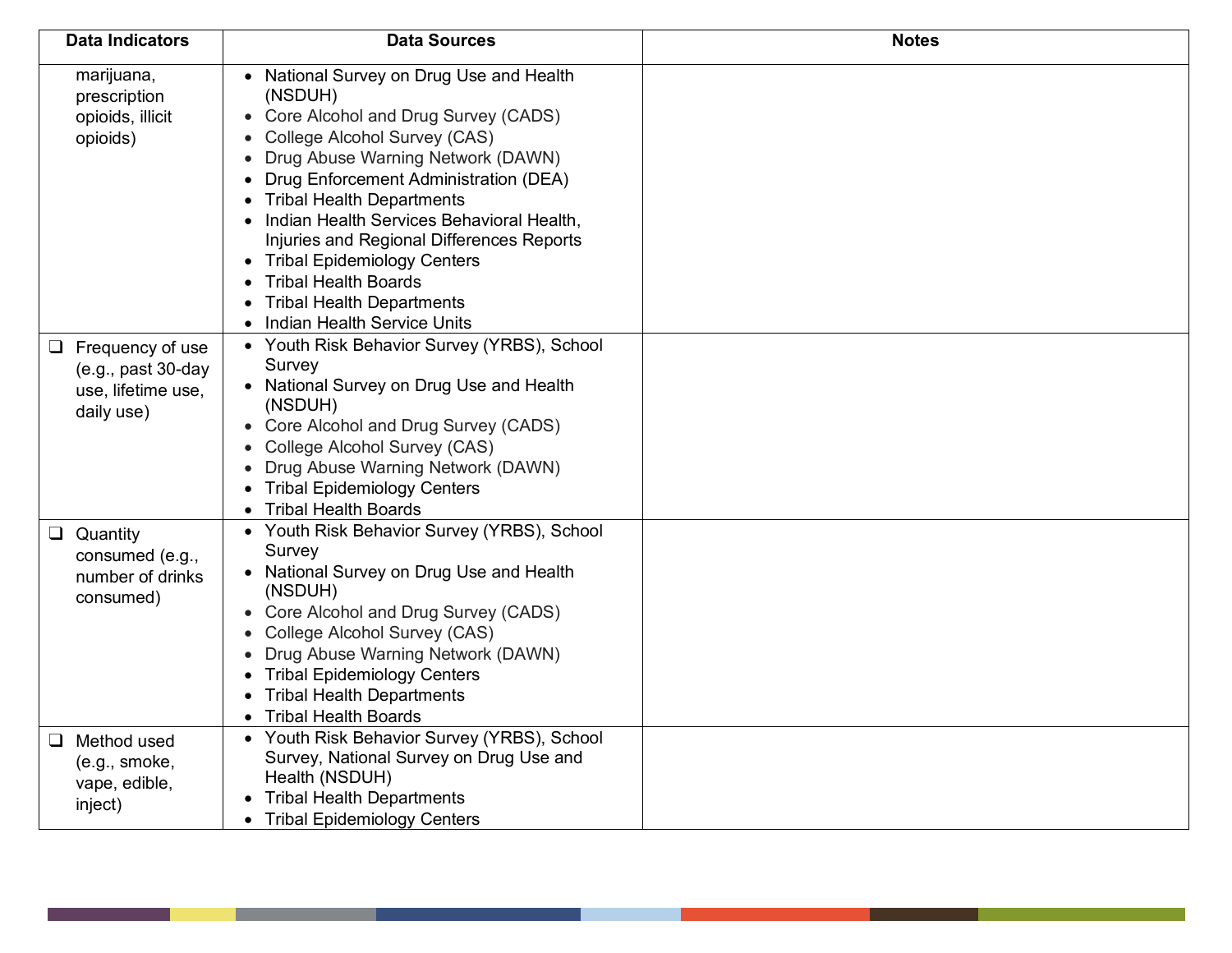| <b>Data Indicators</b>                                                              | <b>Data Sources</b>                                                                                                                                                                                                                                                                                                                                                                                                                                                                                                                                        | <b>Notes</b> |
|-------------------------------------------------------------------------------------|------------------------------------------------------------------------------------------------------------------------------------------------------------------------------------------------------------------------------------------------------------------------------------------------------------------------------------------------------------------------------------------------------------------------------------------------------------------------------------------------------------------------------------------------------------|--------------|
| marijuana,<br>prescription<br>opioids, illicit<br>opioids)                          | National Survey on Drug Use and Health<br>$\bullet$<br>(NSDUH)<br>Core Alcohol and Drug Survey (CADS)<br>College Alcohol Survey (CAS)<br>Drug Abuse Warning Network (DAWN)<br>Drug Enforcement Administration (DEA)<br>$\bullet$<br><b>Tribal Health Departments</b><br>$\bullet$<br>Indian Health Services Behavioral Health,<br>$\bullet$<br>Injuries and Regional Differences Reports<br><b>Tribal Epidemiology Centers</b><br>$\bullet$<br><b>Tribal Health Boards</b><br><b>Tribal Health Departments</b><br>Indian Health Service Units<br>$\bullet$ |              |
| $\Box$ Frequency of use<br>$(e.g., past 30-day$<br>use, lifetime use,<br>daily use) | • Youth Risk Behavior Survey (YRBS), School<br>Survey<br>• National Survey on Drug Use and Health<br>(NSDUH)<br>Core Alcohol and Drug Survey (CADS)<br>College Alcohol Survey (CAS)<br>Drug Abuse Warning Network (DAWN)<br><b>Tribal Epidemiology Centers</b><br><b>Tribal Health Boards</b>                                                                                                                                                                                                                                                              |              |
| $\Box$ Quantity<br>consumed (e.g.,<br>number of drinks<br>consumed)                 | Youth Risk Behavior Survey (YRBS), School<br>Survey<br>National Survey on Drug Use and Health<br>$\bullet$<br>(NSDUH)<br>• Core Alcohol and Drug Survey (CADS)<br>College Alcohol Survey (CAS)<br>$\bullet$<br>Drug Abuse Warning Network (DAWN)<br>$\bullet$<br><b>Tribal Epidemiology Centers</b><br>$\bullet$<br><b>Tribal Health Departments</b><br>$\bullet$<br><b>Tribal Health Boards</b><br>$\bullet$                                                                                                                                              |              |
| $\Box$ Method used<br>(e.g., smoke,<br>vape, edible,<br>inject)                     | Youth Risk Behavior Survey (YRBS), School<br>$\bullet$<br>Survey, National Survey on Drug Use and<br>Health (NSDUH)<br><b>Tribal Health Departments</b><br><b>Tribal Epidemiology Centers</b><br>$\bullet$                                                                                                                                                                                                                                                                                                                                                 |              |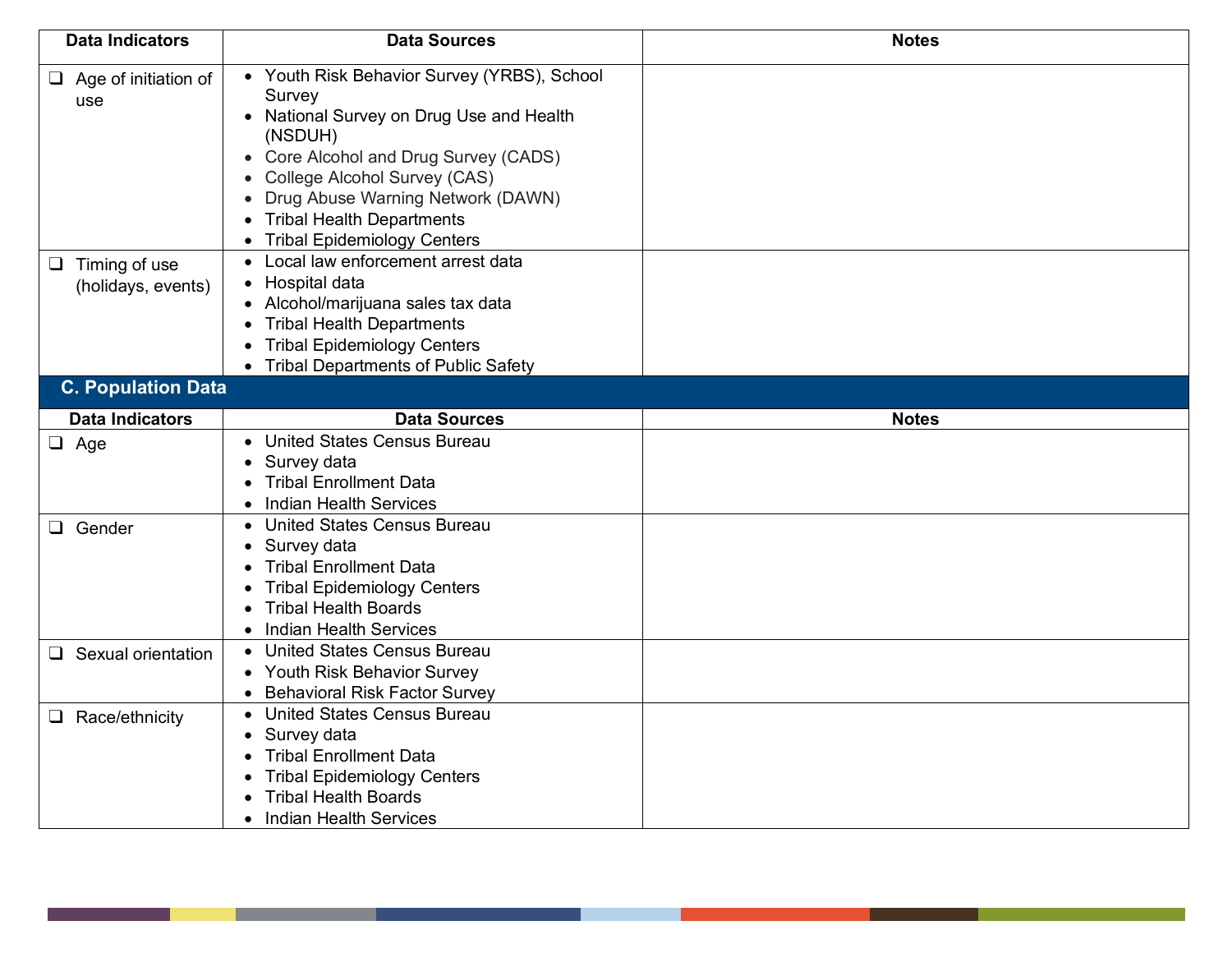| <b>Data Indicators</b>                                                                                                                                                                                                                                                                                                                                                                                                                                               | <b>Data Sources</b>                                                                                                                                                                                   | <b>Notes</b> |
|----------------------------------------------------------------------------------------------------------------------------------------------------------------------------------------------------------------------------------------------------------------------------------------------------------------------------------------------------------------------------------------------------------------------------------------------------------------------|-------------------------------------------------------------------------------------------------------------------------------------------------------------------------------------------------------|--------------|
| • Youth Risk Behavior Survey (YRBS), School<br>$\Box$ Age of initiation of<br>Survey<br>use<br>National Survey on Drug Use and Health<br>(NSDUH)<br>Core Alcohol and Drug Survey (CADS)<br>College Alcohol Survey (CAS)<br>Drug Abuse Warning Network (DAWN)<br><b>Tribal Health Departments</b><br><b>Tribal Epidemiology Centers</b><br>$\bullet$<br>Local law enforcement arrest data<br>$\Box$ Timing of use<br>Hospital data<br>(holidays, events)<br>$\bullet$ |                                                                                                                                                                                                       |              |
|                                                                                                                                                                                                                                                                                                                                                                                                                                                                      | Alcohol/marijuana sales tax data<br><b>Tribal Health Departments</b><br><b>Tribal Epidemiology Centers</b><br>• Tribal Departments of Public Safety                                                   |              |
| <b>C. Population Data</b>                                                                                                                                                                                                                                                                                                                                                                                                                                            |                                                                                                                                                                                                       |              |
| <b>Data Indicators</b>                                                                                                                                                                                                                                                                                                                                                                                                                                               | <b>Data Sources</b>                                                                                                                                                                                   | <b>Notes</b> |
| $\Box$ Age                                                                                                                                                                                                                                                                                                                                                                                                                                                           | • United States Census Bureau<br>Survey data<br><b>Tribal Enrollment Data</b><br><b>Indian Health Services</b>                                                                                        |              |
| $\Box$ Gender                                                                                                                                                                                                                                                                                                                                                                                                                                                        | <b>United States Census Bureau</b><br>Survey data<br><b>Tribal Enrollment Data</b><br><b>Tribal Epidemiology Centers</b><br><b>Tribal Health Boards</b><br><b>Indian Health Services</b>              |              |
| Sexual orientation<br>$\Box$                                                                                                                                                                                                                                                                                                                                                                                                                                         | <b>United States Census Bureau</b><br><b>Youth Risk Behavior Survey</b><br><b>Behavioral Risk Factor Survey</b><br>$\bullet$                                                                          |              |
| $\Box$ Race/ethnicity                                                                                                                                                                                                                                                                                                                                                                                                                                                | <b>United States Census Bureau</b><br>$\bullet$<br>Survey data<br><b>Tribal Enrollment Data</b><br><b>Tribal Epidemiology Centers</b><br><b>Tribal Health Boards</b><br><b>Indian Health Services</b> |              |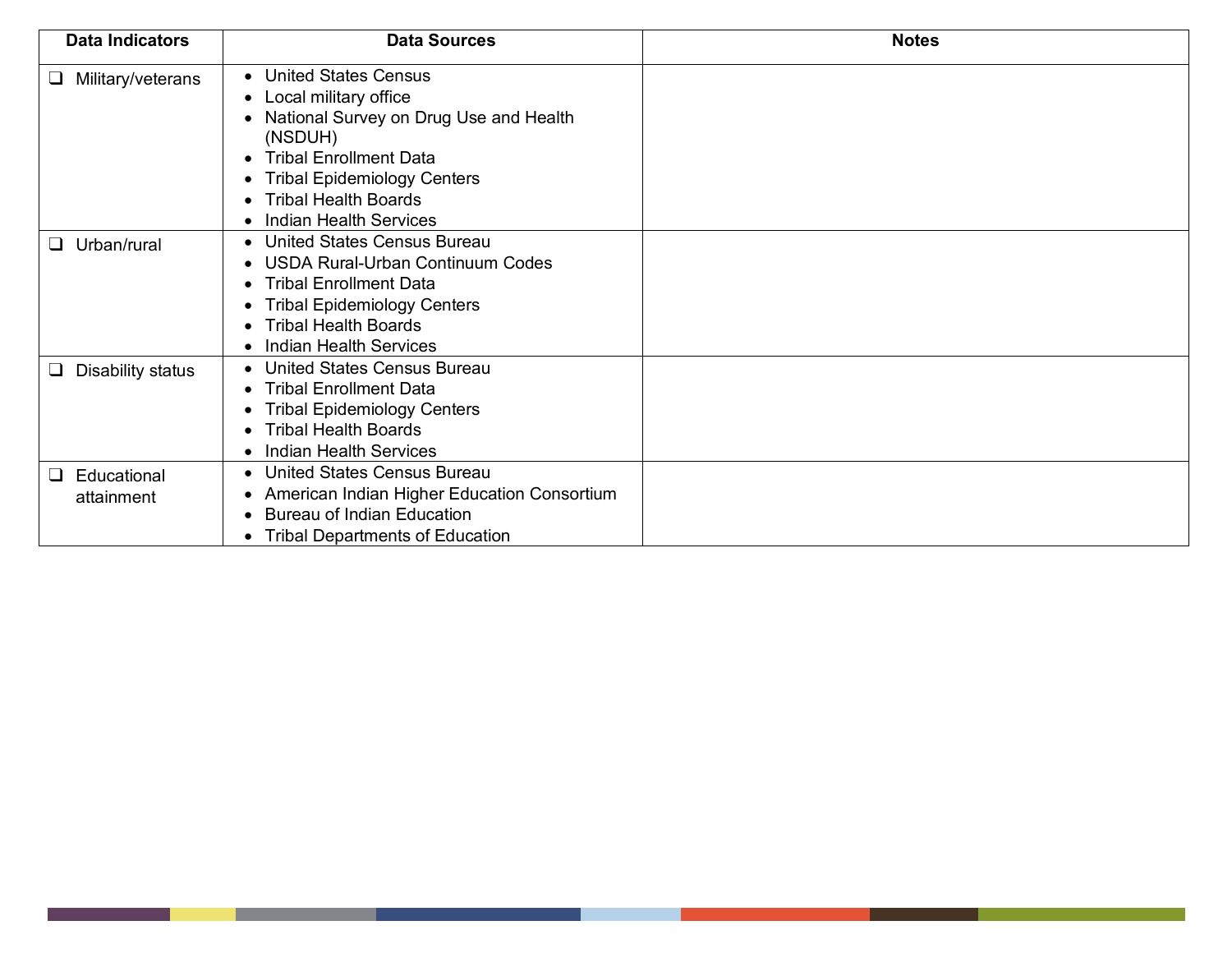| <b>Data Indicators</b>              | <b>Data Sources</b>                                                                                                                                                                                                                  | <b>Notes</b> |
|-------------------------------------|--------------------------------------------------------------------------------------------------------------------------------------------------------------------------------------------------------------------------------------|--------------|
| Military/veterans<br>⊔              | • United States Census<br>Local military office<br>National Survey on Drug Use and Health<br>(NSDUH)<br><b>Tribal Enrollment Data</b><br><b>Tribal Epidemiology Centers</b><br><b>Tribal Health Boards</b><br>Indian Health Services |              |
| Urban/rural<br>$\Box$               | <b>United States Census Bureau</b><br><b>USDA Rural-Urban Continuum Codes</b><br><b>Tribal Enrollment Data</b><br><b>Tribal Epidemiology Centers</b><br><b>Tribal Health Boards</b><br><b>Indian Health Services</b>                 |              |
| $\Box$<br>Disability status         | <b>United States Census Bureau</b><br><b>Tribal Enrollment Data</b><br><b>Tribal Epidemiology Centers</b><br><b>Tribal Health Boards</b><br>Indian Health Services                                                                   |              |
| Educational<br>$\Box$<br>attainment | • United States Census Bureau<br>American Indian Higher Education Consortium<br><b>Bureau of Indian Education</b><br><b>Tribal Departments of Education</b>                                                                          |              |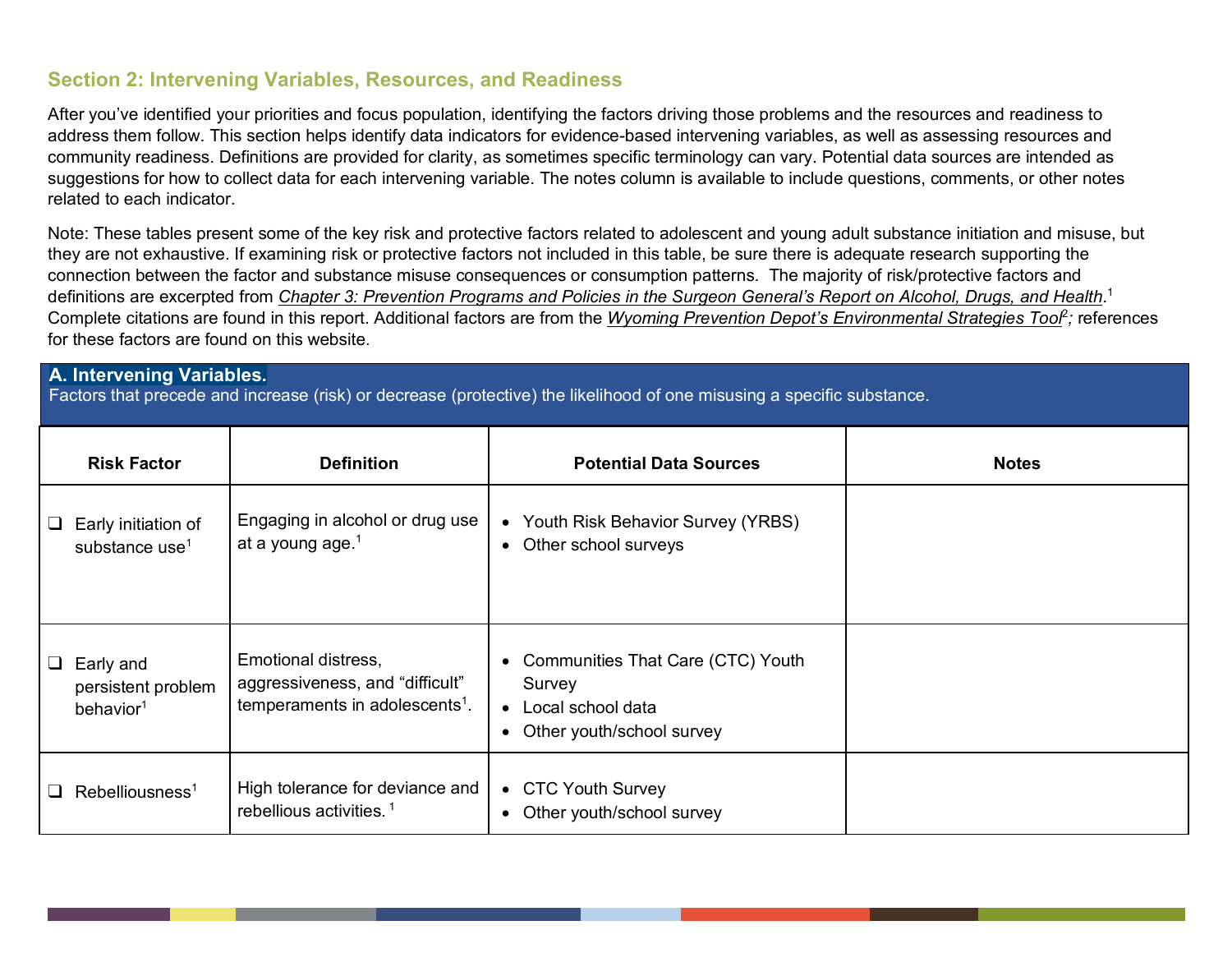## **Section 2: Intervening Variables, Resources, and Readiness**

After you've identified your priorities and focus population, identifying the factors driving those problems and the resources and readiness to address them follow. This section helps identify data indicators for evidence-based intervening variables, as well as assessing resources and community readiness. Definitions are provided for clarity, as sometimes specific terminology can vary. Potential data sources are intended as suggestions for how to collect data for each intervening variable. The notes column is available to include questions, comments, or other notes related to each indicator.

Note: These tables present some of the key risk and protective factors related to adolescent and young adult substance initiation and misuse, but they are not exhaustive. If examining risk or protective factors not included in this table, be sure there is adequate research supporting the connection between the factor and substance misuse consequences or consumption patterns. The majority of risk/protective factors and definitions are excerpted from *Chapter 3: Prevention Programs and Policies in the Surgeon General's Report on Alcohol, Drugs, and Health*. 1 Complete citations are found in this report. Additional factors are from the *Wyoming Prevention Depot's Environmental Strategies Tool<sup>2</sup>; references* for these factors are found on this website*.* 

## **A. Intervening Variables.**

Factors that precede and increase (risk) or decrease (protective) the likelihood of one misusing a specific substance.

| <b>Risk Factor</b>                                              | <b>Definition</b>                                                                                    | <b>Potential Data Sources</b>                                                                                                    | <b>Notes</b> |
|-----------------------------------------------------------------|------------------------------------------------------------------------------------------------------|----------------------------------------------------------------------------------------------------------------------------------|--------------|
| Early initiation of<br>⊔<br>substance use <sup>1</sup>          | Engaging in alcohol or drug use<br>at a young age. <sup>1</sup>                                      | • Youth Risk Behavior Survey (YRBS)<br>Other school surveys<br>$\bullet$                                                         |              |
| $\Box$ Early and<br>persistent problem<br>behavior <sup>1</sup> | Emotional distress,<br>aggressiveness, and "difficult"<br>temperaments in adolescents <sup>1</sup> . | <b>Communities That Care (CTC) Youth</b><br>$\bullet$<br>Survey<br>• Local school data<br>Other youth/school survey<br>$\bullet$ |              |
| $\Box$ Rebelliousness <sup>1</sup>                              | High tolerance for deviance and<br>rebellious activities. <sup>1</sup>                               | • CTC Youth Survey<br>Other youth/school survey<br>$\bullet$                                                                     |              |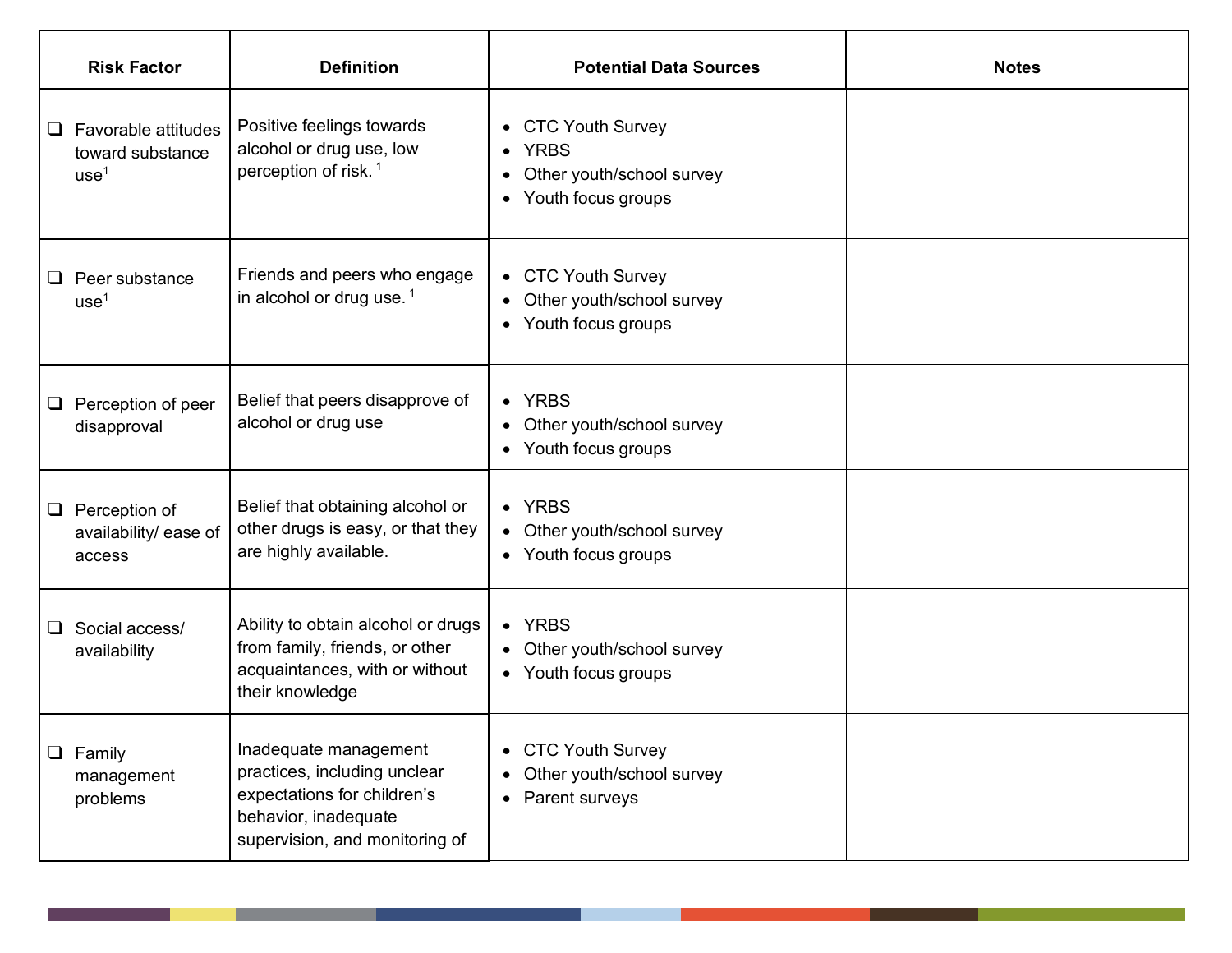|        | <b>Risk Factor</b>                                          | <b>Definition</b>                                                                                                                              | <b>Potential Data Sources</b>                                                                             | <b>Notes</b> |
|--------|-------------------------------------------------------------|------------------------------------------------------------------------------------------------------------------------------------------------|-----------------------------------------------------------------------------------------------------------|--------------|
| ⊔      | Favorable attitudes<br>toward substance<br>use <sup>1</sup> | Positive feelings towards<br>alcohol or drug use, low<br>perception of risk. <sup>1</sup>                                                      | • CTC Youth Survey<br>• YRBS<br>Other youth/school survey<br>$\bullet$<br>Youth focus groups<br>$\bullet$ |              |
| ⊔      | Peer substance<br>use <sup>1</sup>                          | Friends and peers who engage<br>in alcohol or drug use. $1$                                                                                    | • CTC Youth Survey<br>Other youth/school survey<br>• Youth focus groups                                   |              |
| $\Box$ | Perception of peer<br>disapproval                           | Belief that peers disapprove of<br>alcohol or drug use                                                                                         | • YRBS<br>• Other youth/school survey<br>• Youth focus groups                                             |              |
|        | $\Box$ Perception of<br>availability/ ease of<br>access     | Belief that obtaining alcohol or<br>other drugs is easy, or that they<br>are highly available.                                                 | • YRBS<br>• Other youth/school survey<br>• Youth focus groups                                             |              |
| $\Box$ | Social access/<br>availability                              | Ability to obtain alcohol or drugs<br>from family, friends, or other<br>acquaintances, with or without<br>their knowledge                      | • YRBS<br>• Other youth/school survey<br>• Youth focus groups                                             |              |
|        | $\Box$ Family<br>management<br>problems                     | Inadequate management<br>practices, including unclear<br>expectations for children's<br>behavior, inadequate<br>supervision, and monitoring of | • CTC Youth Survey<br>• Other youth/school survey<br>Parent surveys<br>$\bullet$                          |              |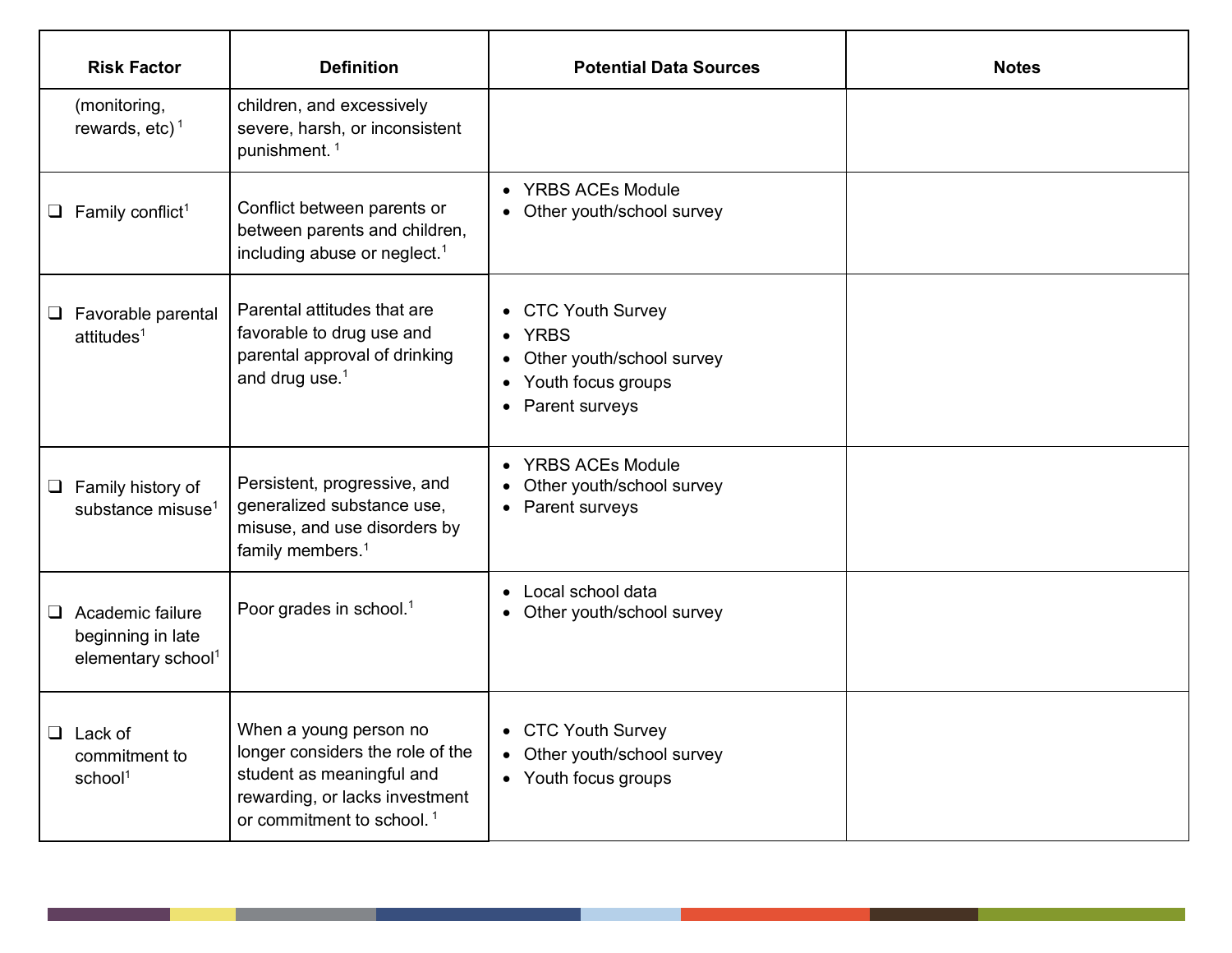| <b>Risk Factor</b>                                                             | <b>Definition</b>                                                                                                                                                  | <b>Potential Data Sources</b>                                                                           | <b>Notes</b> |
|--------------------------------------------------------------------------------|--------------------------------------------------------------------------------------------------------------------------------------------------------------------|---------------------------------------------------------------------------------------------------------|--------------|
| (monitoring,<br>rewards, etc) <sup>1</sup>                                     | children, and excessively<br>severe, harsh, or inconsistent<br>punishment. <sup>1</sup>                                                                            |                                                                                                         |              |
| $\Box$ Family conflict <sup>1</sup>                                            | Conflict between parents or<br>between parents and children,<br>including abuse or neglect. <sup>1</sup>                                                           | • YRBS ACEs Module<br>• Other youth/school survey                                                       |              |
| $\Box$ Favorable parental<br>attitudes <sup>1</sup>                            | Parental attitudes that are<br>favorable to drug use and<br>parental approval of drinking<br>and drug use. $1$                                                     | • CTC Youth Survey<br>• YRBS<br>• Other youth/school survey<br>• Youth focus groups<br>• Parent surveys |              |
| $\Box$ Family history of<br>substance misuse <sup>1</sup>                      | Persistent, progressive, and<br>generalized substance use,<br>misuse, and use disorders by<br>family members. <sup>1</sup>                                         | • YRBS ACEs Module<br>• Other youth/school survey<br>• Parent surveys                                   |              |
| $\Box$ Academic failure<br>beginning in late<br>elementary school <sup>1</sup> | Poor grades in school. <sup>1</sup>                                                                                                                                | • Local school data<br>• Other youth/school survey                                                      |              |
| $\Box$ Lack of<br>commitment to<br>school <sup>1</sup>                         | When a young person no<br>longer considers the role of the<br>student as meaningful and<br>rewarding, or lacks investment<br>or commitment to school. <sup>1</sup> | • CTC Youth Survey<br>• Other youth/school survey<br>• Youth focus groups                               |              |

∎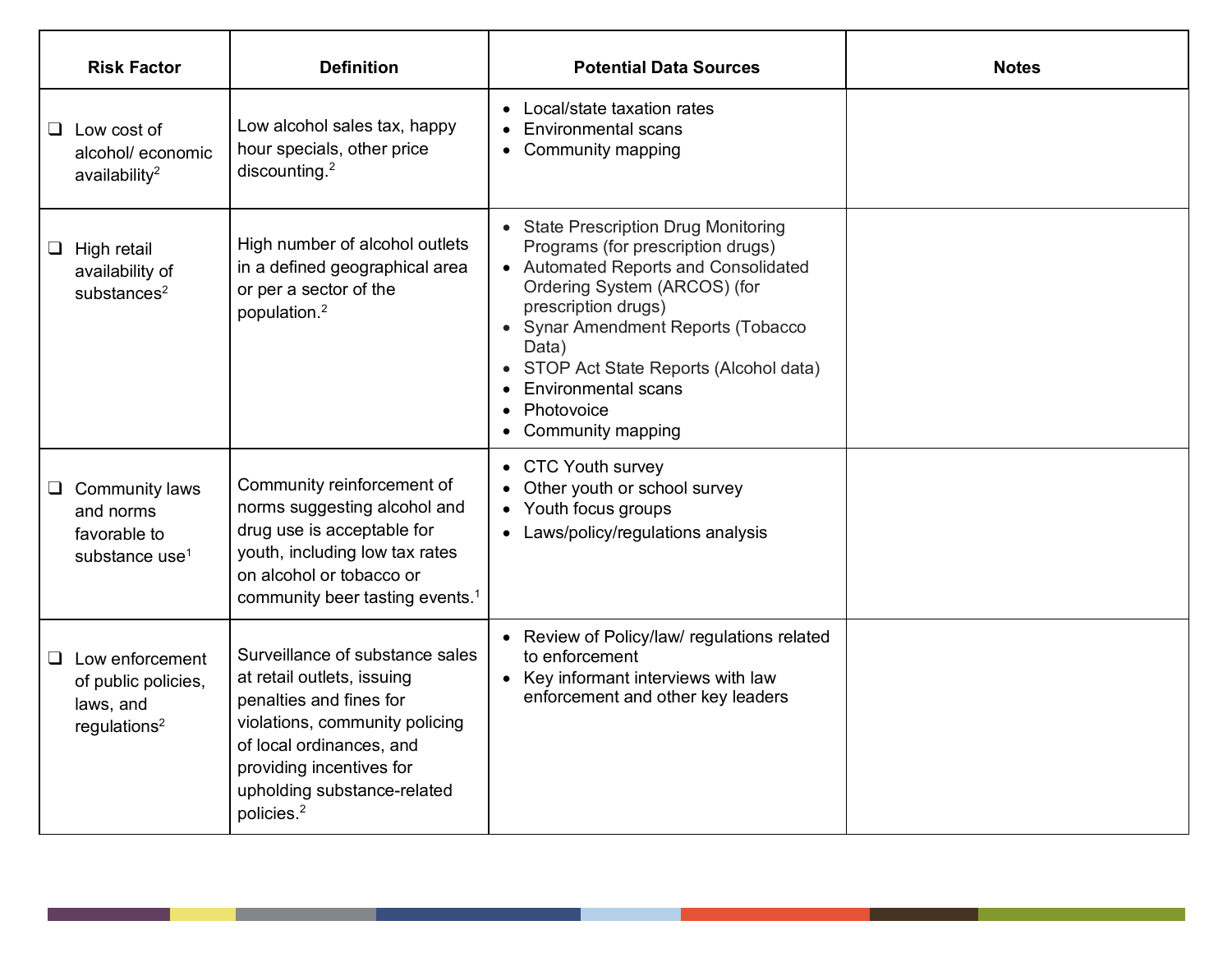| <b>Risk Factor</b>                                                                     | <b>Definition</b>                                                                                                                                                                                                                           | <b>Potential Data Sources</b>                                                                                                                                                                                                                                                                                                                  | <b>Notes</b> |
|----------------------------------------------------------------------------------------|---------------------------------------------------------------------------------------------------------------------------------------------------------------------------------------------------------------------------------------------|------------------------------------------------------------------------------------------------------------------------------------------------------------------------------------------------------------------------------------------------------------------------------------------------------------------------------------------------|--------------|
| $\Box$ Low cost of<br>alcohol/ economic<br>availability $2$                            | Low alcohol sales tax, happy<br>hour specials, other price<br>discounting. $2$                                                                                                                                                              | • Local/state taxation rates<br><b>Environmental scans</b><br>• Community mapping                                                                                                                                                                                                                                                              |              |
| High retail<br>Ц<br>availability of<br>substances $2$                                  | High number of alcohol outlets<br>in a defined geographical area<br>or per a sector of the<br>population. <sup>2</sup>                                                                                                                      | • State Prescription Drug Monitoring<br>Programs (for prescription drugs)<br>• Automated Reports and Consolidated<br>Ordering System (ARCOS) (for<br>prescription drugs)<br>• Synar Amendment Reports (Tobacco<br>Data)<br>STOP Act State Reports (Alcohol data)<br>$\bullet$<br><b>Environmental scans</b><br>Photovoice<br>Community mapping |              |
| $\Box$ Community laws<br>and norms<br>favorable to<br>substance use <sup>1</sup>       | Community reinforcement of<br>norms suggesting alcohol and<br>drug use is acceptable for<br>youth, including low tax rates<br>on alcohol or tobacco or<br>community beer tasting events. <sup>1</sup>                                       | • CTC Youth survey<br>Other youth or school survey<br>• Youth focus groups<br>• Laws/policy/regulations analysis                                                                                                                                                                                                                               |              |
| $\Box$ Low enforcement<br>of public policies,<br>laws, and<br>regulations <sup>2</sup> | Surveillance of substance sales<br>at retail outlets, issuing<br>penalties and fines for<br>violations, community policing<br>of local ordinances, and<br>providing incentives for<br>upholding substance-related<br>policies. <sup>2</sup> | • Review of Policy/law/ regulations related<br>to enforcement<br>• Key informant interviews with law<br>enforcement and other key leaders                                                                                                                                                                                                      |              |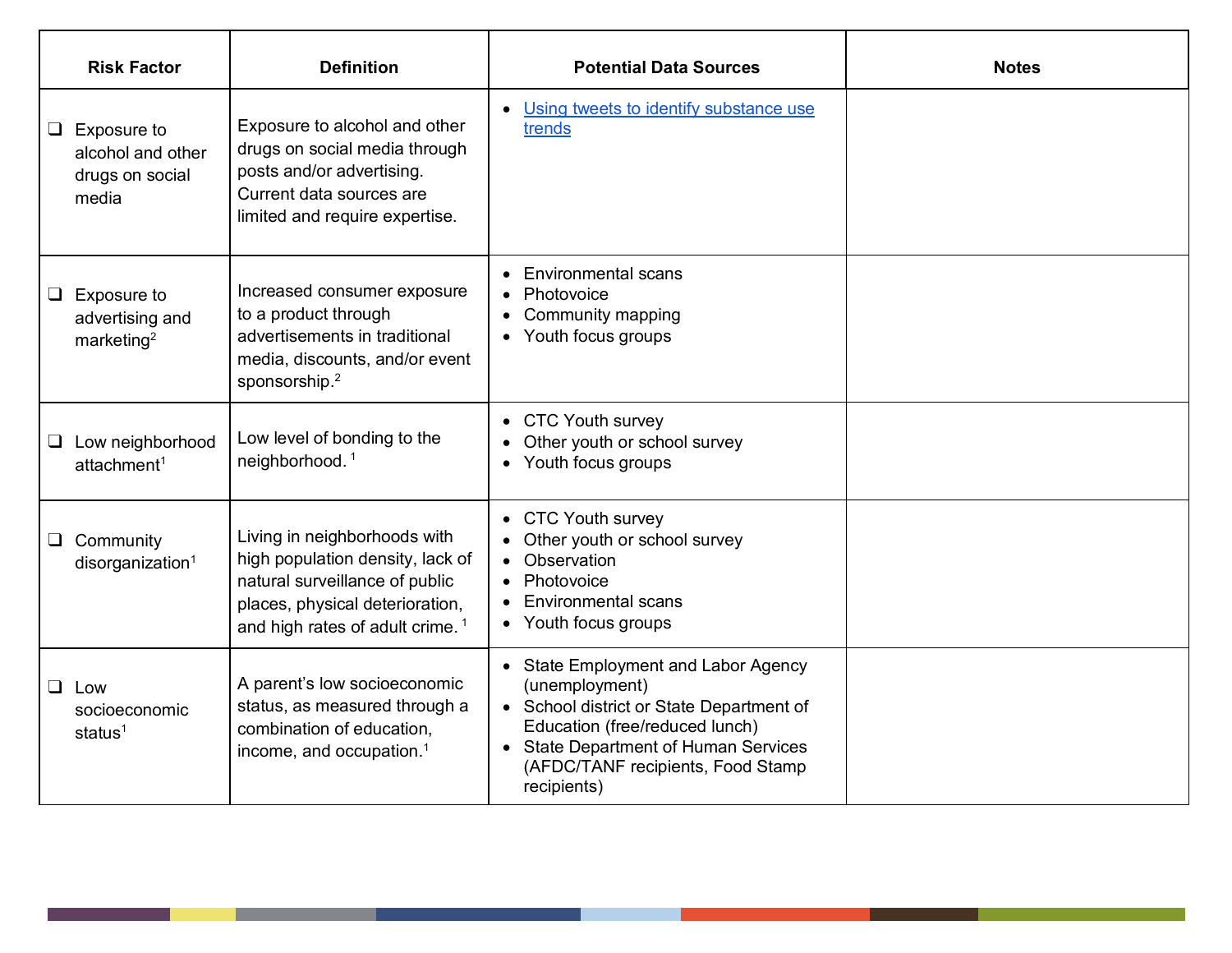|        | <b>Risk Factor</b>                                           | <b>Definition</b>                                                                                                                                                                    | <b>Potential Data Sources</b>                                                                                                                                                                                                        | <b>Notes</b> |
|--------|--------------------------------------------------------------|--------------------------------------------------------------------------------------------------------------------------------------------------------------------------------------|--------------------------------------------------------------------------------------------------------------------------------------------------------------------------------------------------------------------------------------|--------------|
| $\Box$ | Exposure to<br>alcohol and other<br>drugs on social<br>media | Exposure to alcohol and other<br>drugs on social media through<br>posts and/or advertising.<br>Current data sources are<br>limited and require expertise.                            | • Using tweets to identify substance use<br>trends                                                                                                                                                                                   |              |
| $\Box$ | Exposure to<br>advertising and<br>marketing <sup>2</sup>     | Increased consumer exposure<br>to a product through<br>advertisements in traditional<br>media, discounts, and/or event<br>sponsorship. <sup>2</sup>                                  | <b>Environmental scans</b><br>Photovoice<br><b>Community mapping</b><br>• Youth focus groups                                                                                                                                         |              |
| $\Box$ | Low neighborhood<br>attachment <sup>1</sup>                  | Low level of bonding to the<br>neighborhood. <sup>1</sup>                                                                                                                            | • CTC Youth survey<br>Other youth or school survey<br>Youth focus groups                                                                                                                                                             |              |
| $\Box$ | Community<br>disorganization <sup>1</sup>                    | Living in neighborhoods with<br>high population density, lack of<br>natural surveillance of public<br>places, physical deterioration,<br>and high rates of adult crime. <sup>1</sup> | • CTC Youth survey<br>Other youth or school survey<br>Observation<br>Photovoice<br><b>Environmental scans</b><br>• Youth focus groups                                                                                                |              |
| ⊔.     | Low<br>socioeconomic<br>status $1$                           | A parent's low socioeconomic<br>status, as measured through a<br>combination of education,<br>income, and occupation. <sup>1</sup>                                                   | • State Employment and Labor Agency<br>(unemployment)<br>• School district or State Department of<br>Education (free/reduced lunch)<br><b>State Department of Human Services</b><br>(AFDC/TANF recipients, Food Stamp<br>recipients) |              |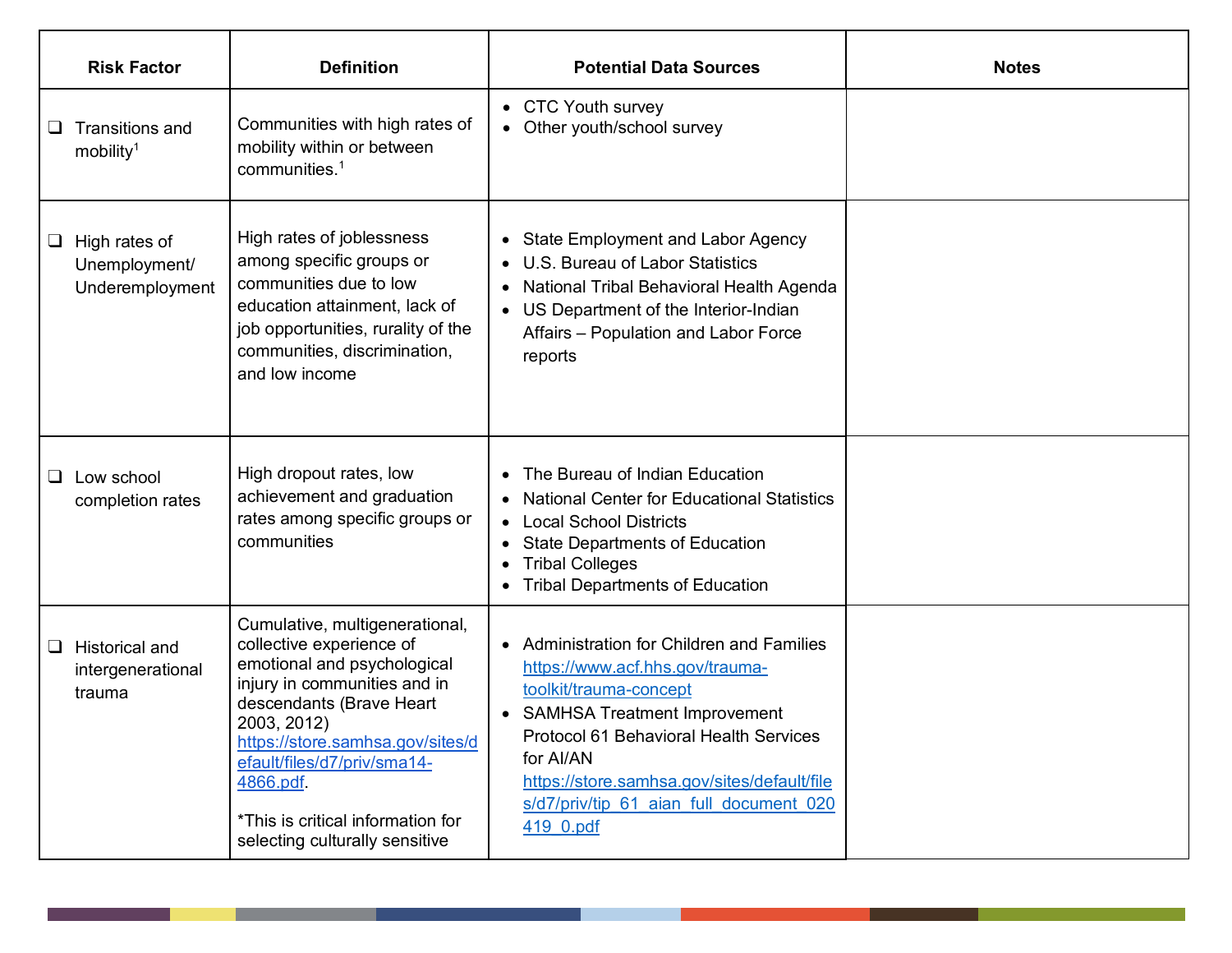| <b>Risk Factor</b>                                        | <b>Definition</b>                                                                                                                                                                                                                                                                                                           | <b>Potential Data Sources</b>                                                                                                                                                                                                                                                                           | <b>Notes</b> |
|-----------------------------------------------------------|-----------------------------------------------------------------------------------------------------------------------------------------------------------------------------------------------------------------------------------------------------------------------------------------------------------------------------|---------------------------------------------------------------------------------------------------------------------------------------------------------------------------------------------------------------------------------------------------------------------------------------------------------|--------------|
| <b>Transitions and</b><br>u.<br>mobility <sup>1</sup>     | Communities with high rates of<br>mobility within or between<br>communities. $1$                                                                                                                                                                                                                                            | • CTC Youth survey<br>• Other youth/school survey                                                                                                                                                                                                                                                       |              |
| High rates of<br>⊔<br>Unemployment/<br>Underemployment    | High rates of joblessness<br>among specific groups or<br>communities due to low<br>education attainment, lack of<br>job opportunities, rurality of the<br>communities, discrimination,<br>and low income                                                                                                                    | • State Employment and Labor Agency<br>U.S. Bureau of Labor Statistics<br>$\bullet$<br>• National Tribal Behavioral Health Agenda<br>US Department of the Interior-Indian<br>$\bullet$<br>Affairs - Population and Labor Force<br>reports                                                               |              |
| Low school<br>$\Box$<br>completion rates                  | High dropout rates, low<br>achievement and graduation<br>rates among specific groups or<br>communities                                                                                                                                                                                                                      | • The Bureau of Indian Education<br><b>National Center for Educational Statistics</b><br>• Local School Districts<br><b>State Departments of Education</b><br>$\bullet$<br><b>Tribal Colleges</b><br>$\bullet$<br><b>Tribal Departments of Education</b>                                                |              |
| <b>Historical and</b><br>⊔<br>intergenerational<br>trauma | Cumulative, multigenerational,<br>collective experience of<br>emotional and psychological<br>injury in communities and in<br>descendants (Brave Heart<br>2003, 2012)<br>https://store.samhsa.gov/sites/d<br>efault/files/d7/priv/sma14-<br>4866.pdf.<br>*This is critical information for<br>selecting culturally sensitive | • Administration for Children and Families<br>https://www.acf.hhs.gov/trauma-<br>toolkit/trauma-concept<br>• SAMHSA Treatment Improvement<br>Protocol 61 Behavioral Health Services<br>for Al/AN<br>https://store.samhsa.gov/sites/default/file<br>s/d7/priv/tip 61 aian full document 020<br>419 0.pdf |              |

∎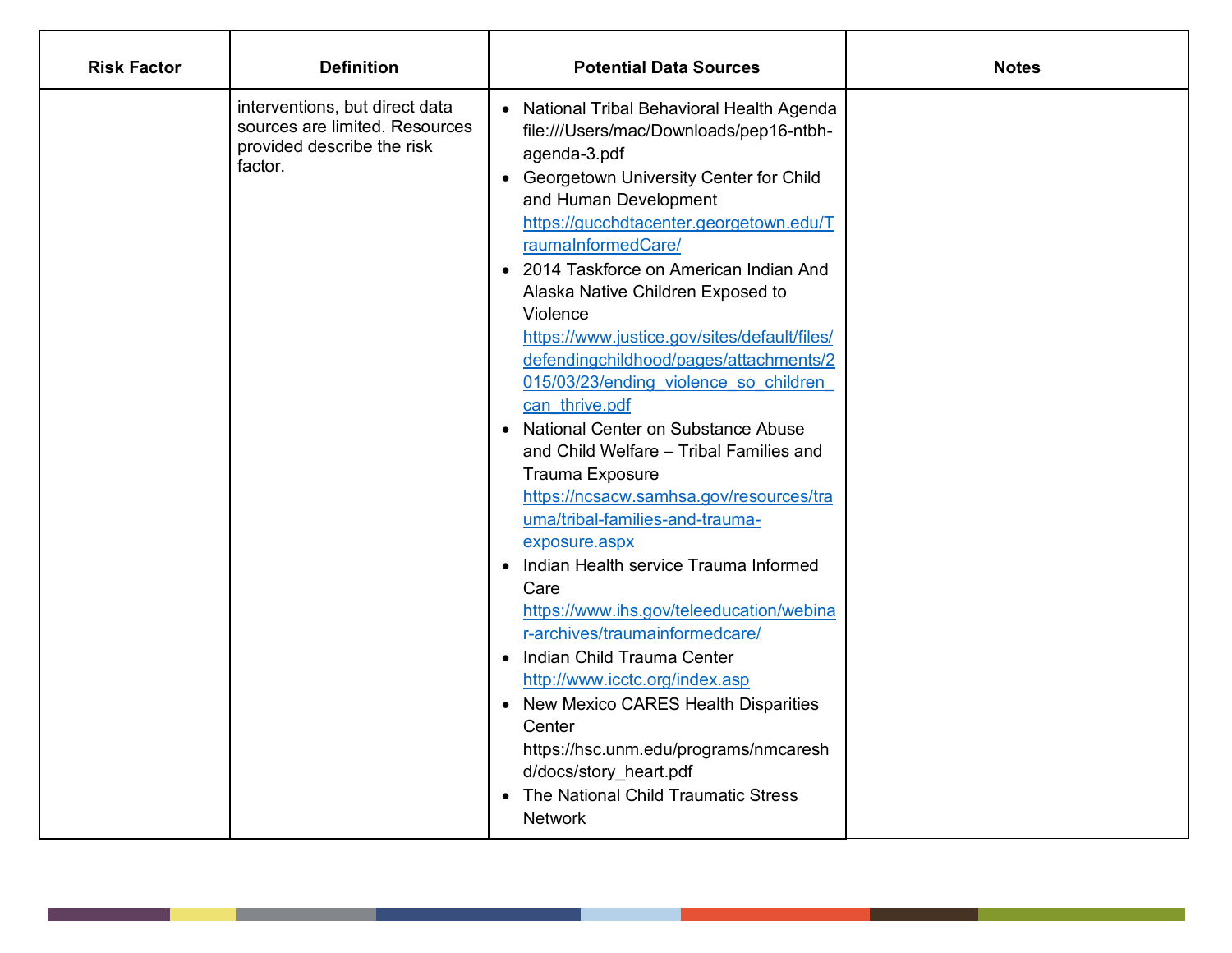| <b>Risk Factor</b> | <b>Definition</b>                                                                                         | <b>Potential Data Sources</b>                                                                                                                                                                                                                                                                                                                                                                                                                                                                                                                                                                                                                                                                                                                                                                                                                                                                                                                                                                                                                                                                | <b>Notes</b> |
|--------------------|-----------------------------------------------------------------------------------------------------------|----------------------------------------------------------------------------------------------------------------------------------------------------------------------------------------------------------------------------------------------------------------------------------------------------------------------------------------------------------------------------------------------------------------------------------------------------------------------------------------------------------------------------------------------------------------------------------------------------------------------------------------------------------------------------------------------------------------------------------------------------------------------------------------------------------------------------------------------------------------------------------------------------------------------------------------------------------------------------------------------------------------------------------------------------------------------------------------------|--------------|
|                    | interventions, but direct data<br>sources are limited. Resources<br>provided describe the risk<br>factor. | • National Tribal Behavioral Health Agenda<br>file:///Users/mac/Downloads/pep16-ntbh-<br>agenda-3.pdf<br>• Georgetown University Center for Child<br>and Human Development<br>https://gucchdtacenter.georgetown.edu/T<br>raumaInformedCare/<br>• 2014 Taskforce on American Indian And<br>Alaska Native Children Exposed to<br>Violence<br>https://www.justice.gov/sites/default/files/<br>defendingchildhood/pages/attachments/2<br>015/03/23/ending violence so children<br>can thrive.pdf<br>• National Center on Substance Abuse<br>and Child Welfare - Tribal Families and<br><b>Trauma Exposure</b><br>https://ncsacw.samhsa.gov/resources/tra<br>uma/tribal-families-and-trauma-<br>exposure.aspx<br>• Indian Health service Trauma Informed<br>Care<br>https://www.ihs.gov/teleeducation/webina<br>r-archives/traumainformedcare/<br>• Indian Child Trauma Center<br>http://www.icctc.org/index.asp<br>• New Mexico CARES Health Disparities<br>Center<br>https://hsc.unm.edu/programs/nmcaresh<br>d/docs/story heart.pdf<br>• The National Child Traumatic Stress<br><b>Network</b> |              |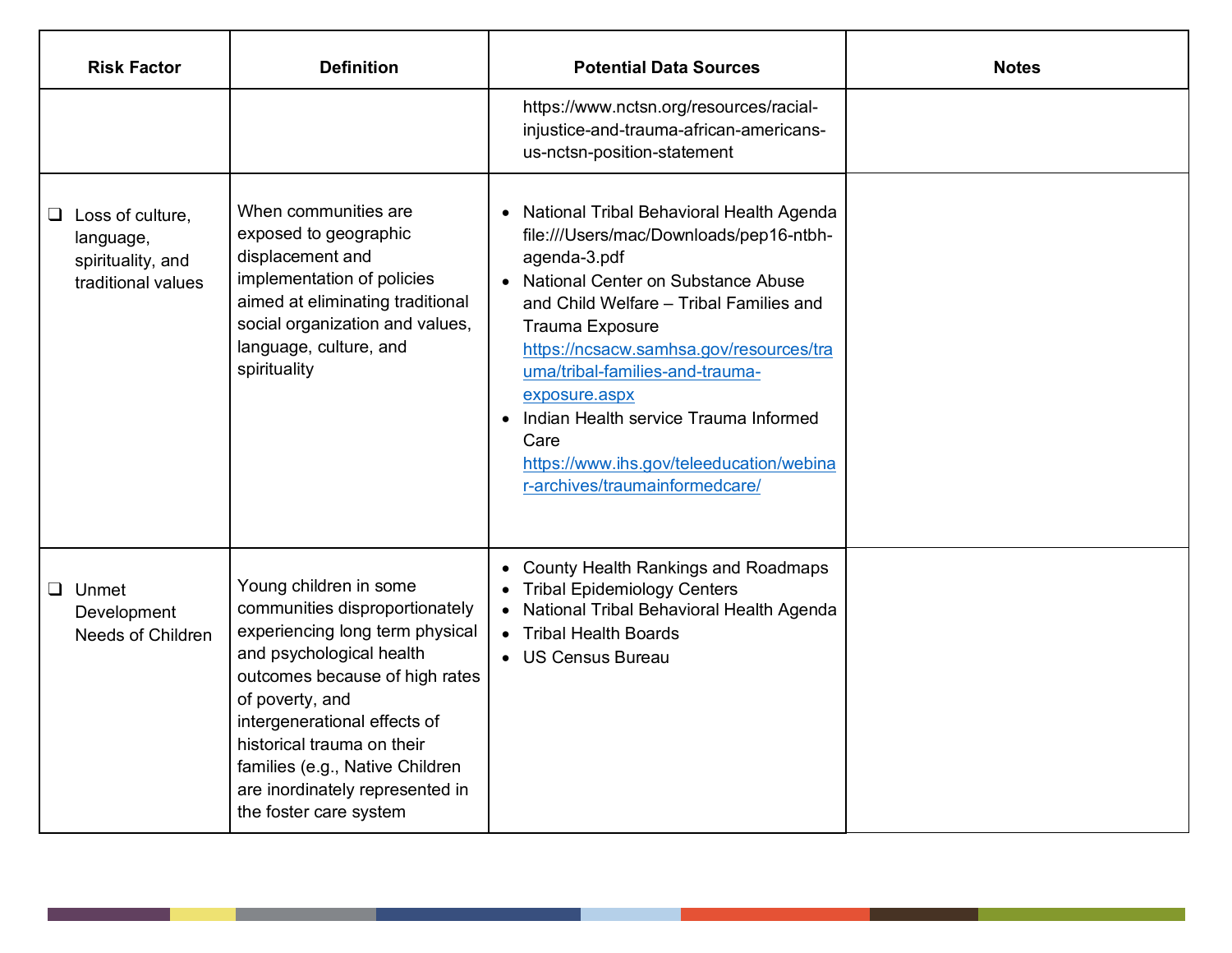| <b>Risk Factor</b>                                                              | <b>Definition</b>                                                                                                                                                                                                                                                                                                                          | <b>Potential Data Sources</b>                                                                                                                                                                                                                                                                                                                                                                                                                                     | <b>Notes</b> |
|---------------------------------------------------------------------------------|--------------------------------------------------------------------------------------------------------------------------------------------------------------------------------------------------------------------------------------------------------------------------------------------------------------------------------------------|-------------------------------------------------------------------------------------------------------------------------------------------------------------------------------------------------------------------------------------------------------------------------------------------------------------------------------------------------------------------------------------------------------------------------------------------------------------------|--------------|
|                                                                                 |                                                                                                                                                                                                                                                                                                                                            | https://www.nctsn.org/resources/racial-<br>injustice-and-trauma-african-americans-<br>us-nctsn-position-statement                                                                                                                                                                                                                                                                                                                                                 |              |
| $\Box$ Loss of culture,<br>language,<br>spirituality, and<br>traditional values | When communities are<br>exposed to geographic<br>displacement and<br>implementation of policies<br>aimed at eliminating traditional<br>social organization and values,<br>language, culture, and<br>spirituality                                                                                                                           | National Tribal Behavioral Health Agenda<br>$\bullet$<br>file:///Users/mac/Downloads/pep16-ntbh-<br>agenda-3.pdf<br>• National Center on Substance Abuse<br>and Child Welfare - Tribal Families and<br>Trauma Exposure<br>https://ncsacw.samhsa.gov/resources/tra<br>uma/tribal-families-and-trauma-<br>exposure.aspx<br>Indian Health service Trauma Informed<br>$\bullet$<br>Care<br>https://www.ihs.gov/teleeducation/webina<br>r-archives/traumainformedcare/ |              |
| $\Box$ Unmet<br>Development<br>Needs of Children                                | Young children in some<br>communities disproportionately<br>experiencing long term physical<br>and psychological health<br>outcomes because of high rates<br>of poverty, and<br>intergenerational effects of<br>historical trauma on their<br>families (e.g., Native Children<br>are inordinately represented in<br>the foster care system | • County Health Rankings and Roadmaps<br><b>Tribal Epidemiology Centers</b><br>• National Tribal Behavioral Health Agenda<br>• Tribal Health Boards<br>• US Census Bureau                                                                                                                                                                                                                                                                                         |              |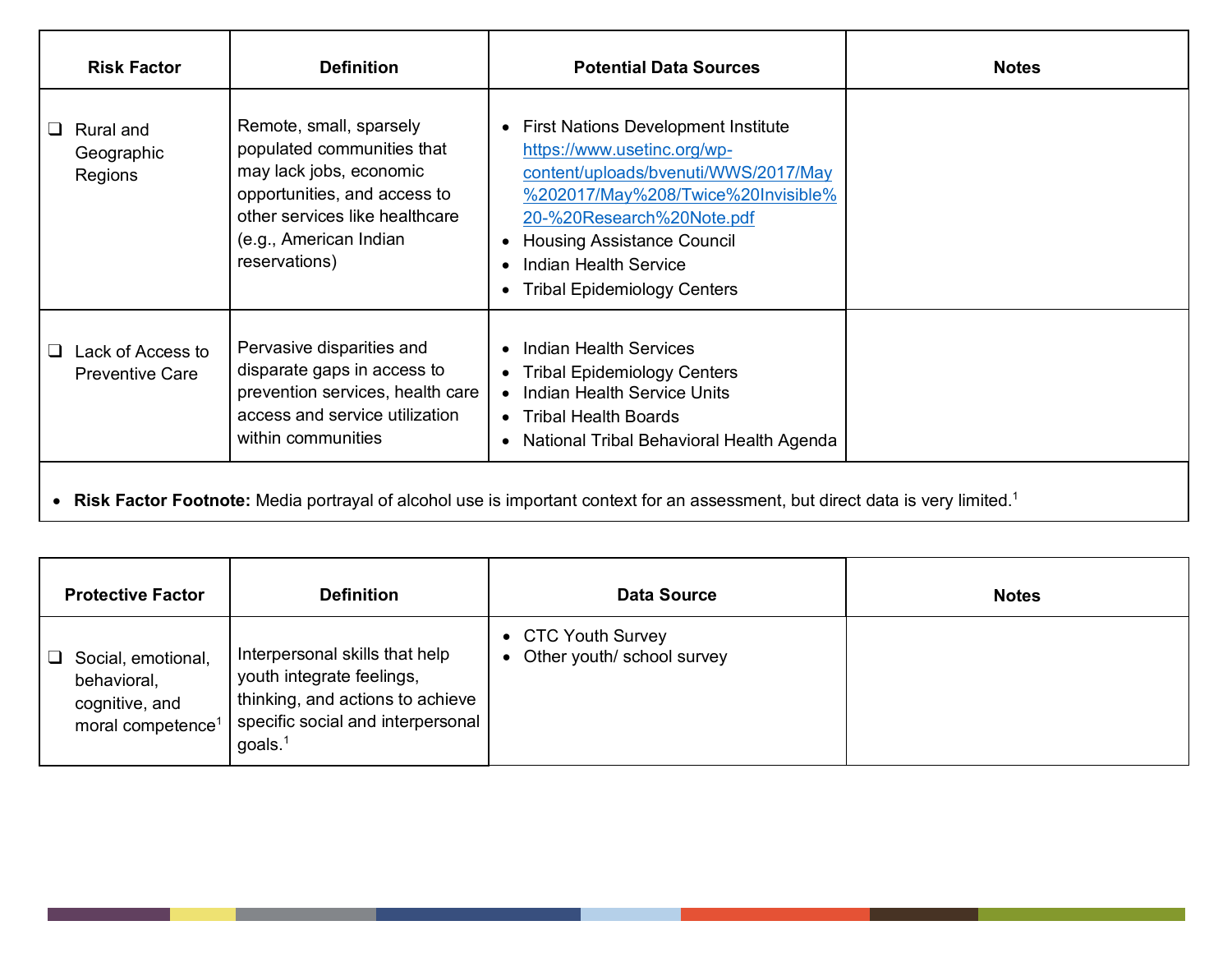| <b>Risk Factor</b>                               | <b>Definition</b>                                                                                                                                                                             | <b>Potential Data Sources</b>                                                                                                                                                                                                                                                                                      | <b>Notes</b> |
|--------------------------------------------------|-----------------------------------------------------------------------------------------------------------------------------------------------------------------------------------------------|--------------------------------------------------------------------------------------------------------------------------------------------------------------------------------------------------------------------------------------------------------------------------------------------------------------------|--------------|
| Rural and<br>$\Box$<br>Geographic<br>Regions     | Remote, small, sparsely<br>populated communities that<br>may lack jobs, economic<br>opportunities, and access to<br>other services like healthcare<br>(e.g., American Indian<br>reservations) | <b>First Nations Development Institute</b><br>$\bullet$<br>https://www.usetinc.org/wp-<br>content/uploads/bvenuti/WWS/2017/May<br>%202017/May%208/Twice%20Invisible%<br>20-%20Research%20Note.pdf<br><b>Housing Assistance Council</b><br>$\bullet$<br>Indian Health Service<br><b>Tribal Epidemiology Centers</b> |              |
| Lack of Access to<br>ப<br><b>Preventive Care</b> | Pervasive disparities and<br>disparate gaps in access to<br>prevention services, health care<br>access and service utilization<br>within communities                                          | Indian Health Services<br>$\bullet$<br>• Tribal Epidemiology Centers<br>• Indian Health Service Units<br>• Tribal Health Boards<br>National Tribal Behavioral Health Agenda<br>$\bullet$                                                                                                                           |              |
|                                                  |                                                                                                                                                                                               | • Risk Factor Footnote: Media portrayal of alcohol use is important context for an assessment, but direct data is very limited. <sup>1</sup>                                                                                                                                                                       |              |

| <b>Protective Factor</b>                                                                  | <b>Definition</b>                                                                                                                              | <b>Data Source</b>                                            | <b>Notes</b> |
|-------------------------------------------------------------------------------------------|------------------------------------------------------------------------------------------------------------------------------------------------|---------------------------------------------------------------|--------------|
| Social, emotional,<br>⊔<br>behavioral,<br>cognitive, and<br>moral competence <sup>1</sup> | Interpersonal skills that help<br>youth integrate feelings,<br>thinking, and actions to achieve<br>specific social and interpersonal<br>goals. | • CTC Youth Survey<br>Other youth/ school survey<br>$\bullet$ |              |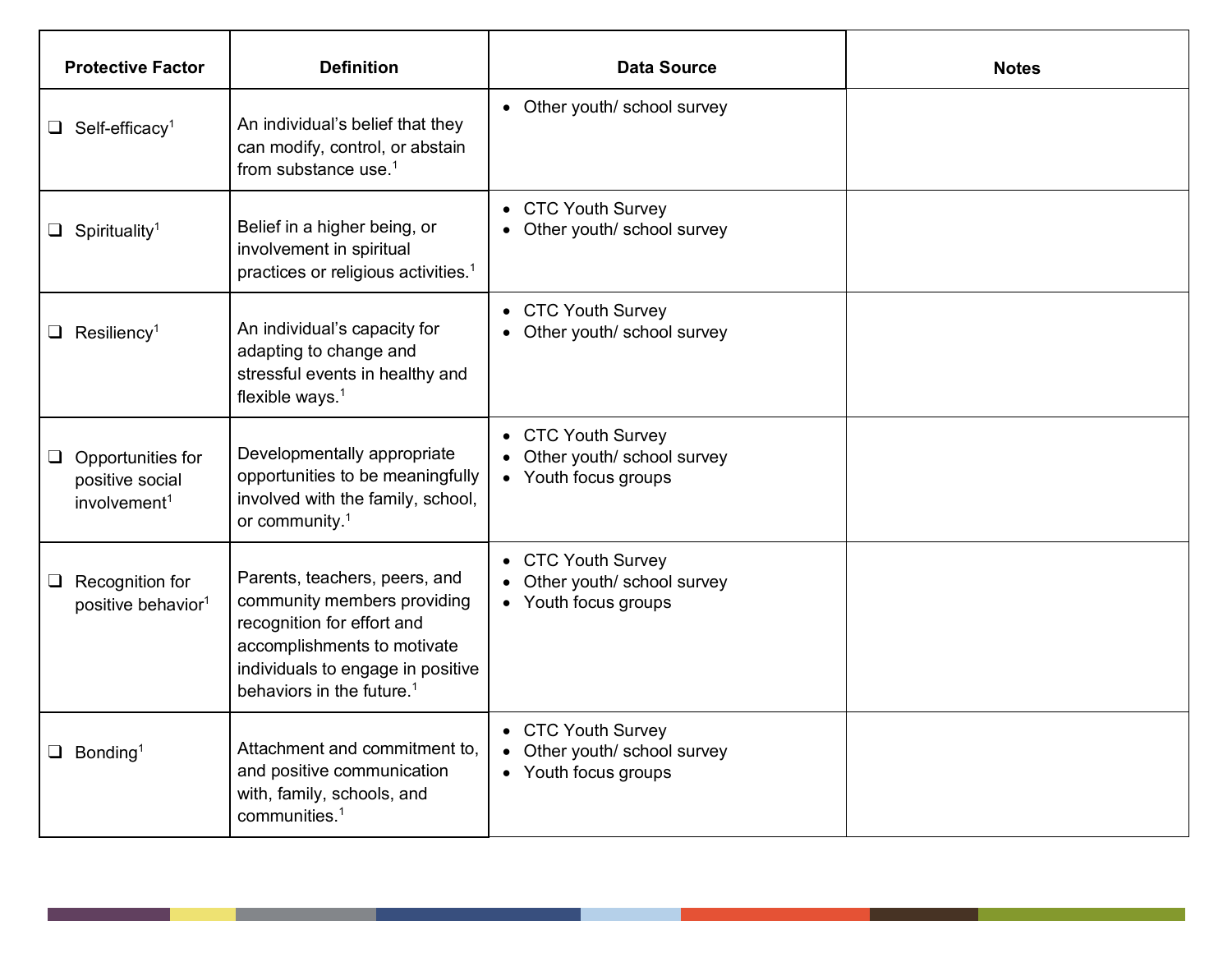| <b>Protective Factor</b>                                                | <b>Definition</b>                                                                                                                                                                                       | <b>Data Source</b>                                                         | <b>Notes</b> |
|-------------------------------------------------------------------------|---------------------------------------------------------------------------------------------------------------------------------------------------------------------------------------------------------|----------------------------------------------------------------------------|--------------|
| $\Box$ Self-efficacy <sup>1</sup>                                       | An individual's belief that they<br>can modify, control, or abstain<br>from substance use. $1$                                                                                                          | • Other youth/ school survey                                               |              |
| $\Box$ Spirituality <sup>1</sup>                                        | Belief in a higher being, or<br>involvement in spiritual<br>practices or religious activities. <sup>1</sup>                                                                                             | • CTC Youth Survey<br>• Other youth/ school survey                         |              |
| $\Box$ Resiliency <sup>1</sup>                                          | An individual's capacity for<br>adapting to change and<br>stressful events in healthy and<br>flexible ways. $1$                                                                                         | • CTC Youth Survey<br>• Other youth/ school survey                         |              |
| $\Box$ Opportunities for<br>positive social<br>involvement <sup>1</sup> | Developmentally appropriate<br>opportunities to be meaningfully<br>involved with the family, school,<br>or community. $1$                                                                               | • CTC Youth Survey<br>• Other youth/ school survey<br>• Youth focus groups |              |
| Recognition for<br>⊔<br>positive behavior <sup>1</sup>                  | Parents, teachers, peers, and<br>community members providing<br>recognition for effort and<br>accomplishments to motivate<br>individuals to engage in positive<br>behaviors in the future. <sup>1</sup> | • CTC Youth Survey<br>• Other youth/ school survey<br>• Youth focus groups |              |
| $\Box$ Bonding <sup>1</sup>                                             | Attachment and commitment to,<br>and positive communication<br>with, family, schools, and<br>communities. <sup>1</sup>                                                                                  | • CTC Youth Survey<br>• Other youth/ school survey<br>• Youth focus groups |              |

a sa ta

<u> a shekara ta 1991</u>

a sa sa na sa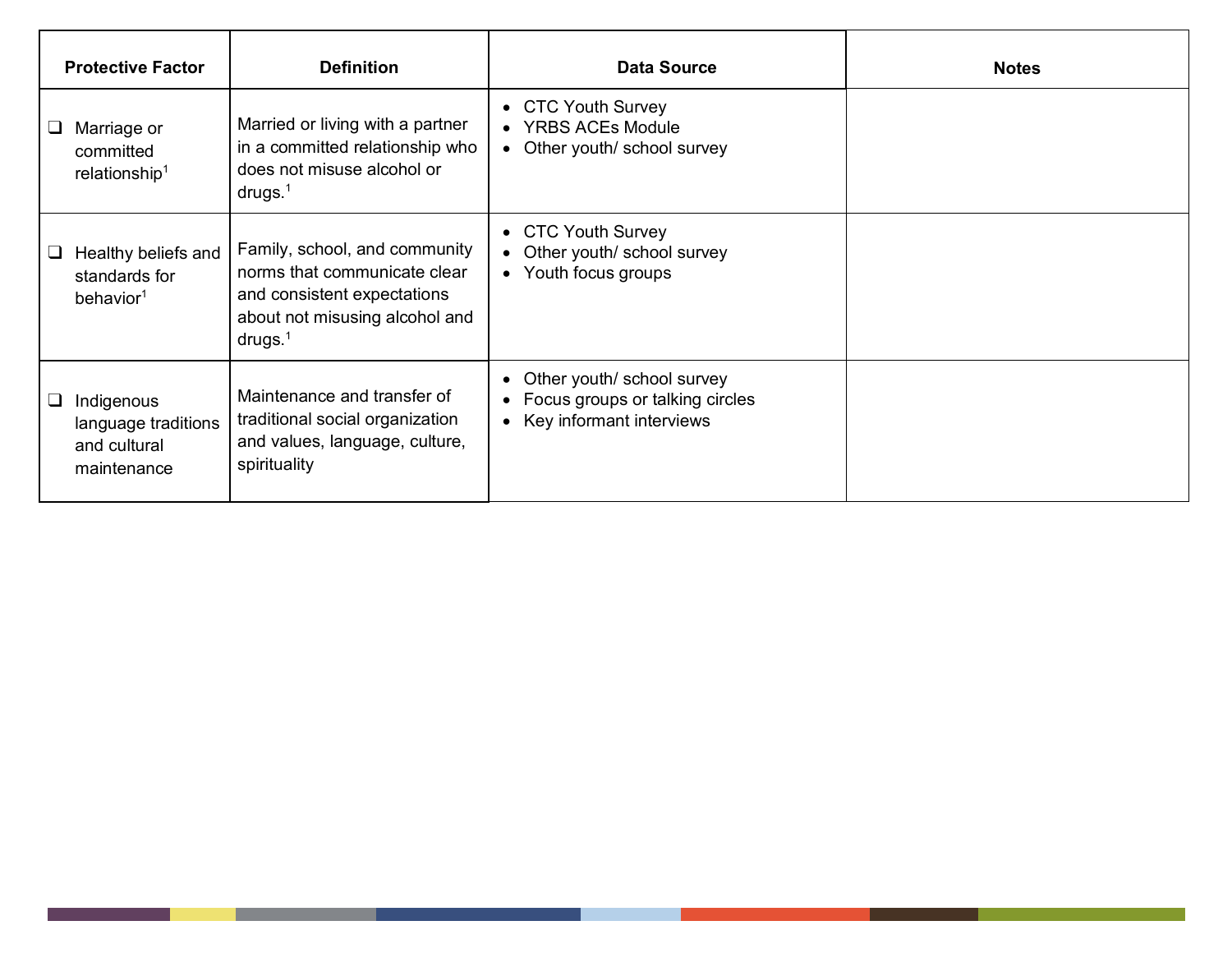|   | <b>Protective Factor</b>                                         | <b>Definition</b>                                                                                                                            | <b>Data Source</b>                                                                              | <b>Notes</b> |
|---|------------------------------------------------------------------|----------------------------------------------------------------------------------------------------------------------------------------------|-------------------------------------------------------------------------------------------------|--------------|
| ⊔ | Marriage or<br>committed<br>relationship <sup>1</sup>            | Married or living with a partner<br>in a committed relationship who<br>does not misuse alcohol or<br>drugs. $1$                              | • CTC Youth Survey<br>• YRBS ACEs Module<br>• Other youth/ school survey                        |              |
| ⊔ | Healthy beliefs and<br>standards for<br>behavior <sup>1</sup>    | Family, school, and community<br>norms that communicate clear<br>and consistent expectations<br>about not misusing alcohol and<br>drugs. $1$ | • CTC Youth Survey<br>• Other youth/ school survey<br>• Youth focus groups                      |              |
| ⊔ | Indigenous<br>language traditions<br>and cultural<br>maintenance | Maintenance and transfer of<br>traditional social organization<br>and values, language, culture,<br>spirituality                             | • Other youth/ school survey<br>• Focus groups or talking circles<br>• Key informant interviews |              |

I.

<u> a shekara ta 1991 a shekara ta 1991 a shekara ta 1991 a shekara ta 1991 a shekara ta 1991 a shekara ta 1991 a </u>

a sa sa na san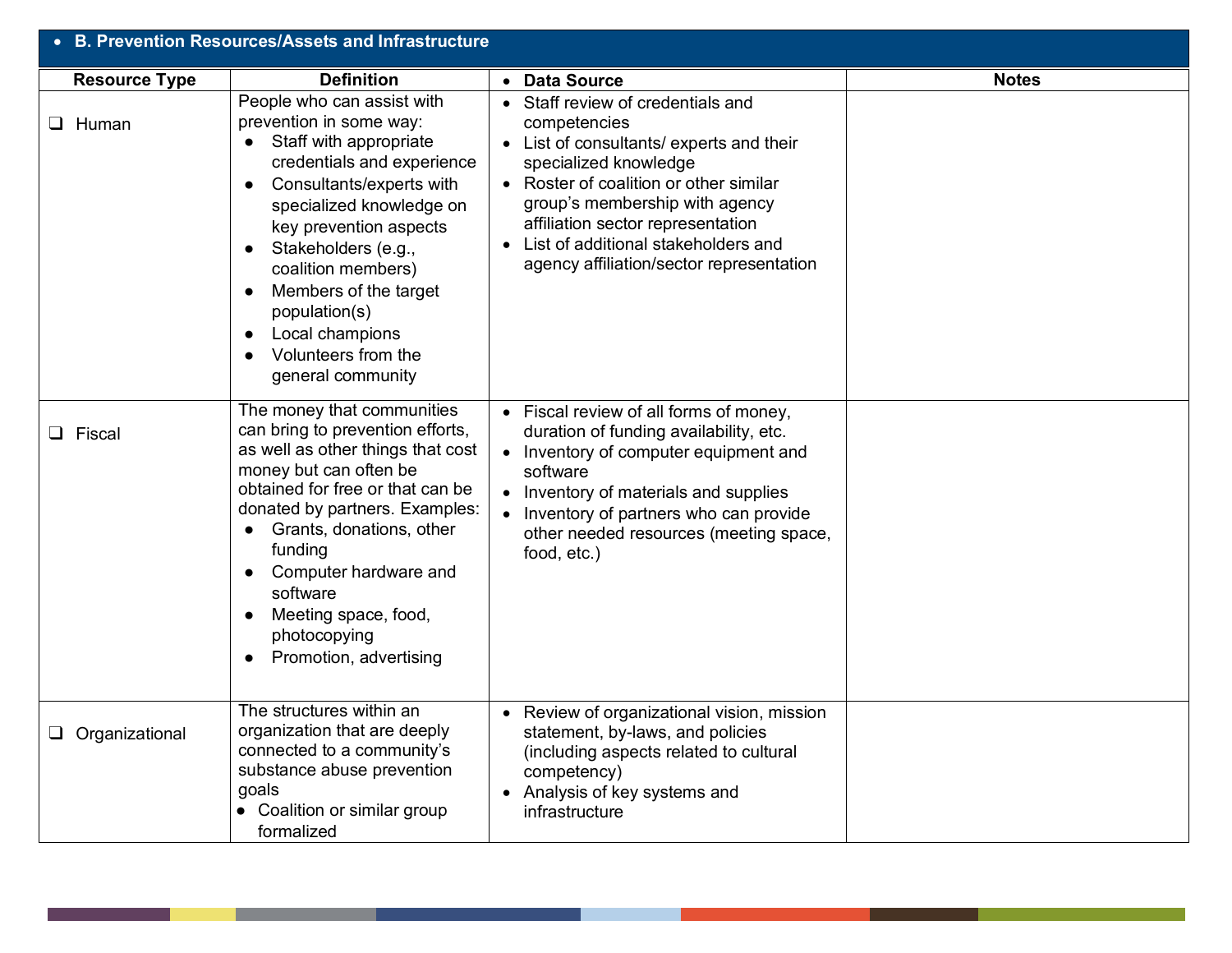| • B. Prevention Resources/Assets and Infrastructure |                                                                                                                                                                                                                                                                                                                                                                    |                                                                                                                                                                                                                                                                                                                              |              |
|-----------------------------------------------------|--------------------------------------------------------------------------------------------------------------------------------------------------------------------------------------------------------------------------------------------------------------------------------------------------------------------------------------------------------------------|------------------------------------------------------------------------------------------------------------------------------------------------------------------------------------------------------------------------------------------------------------------------------------------------------------------------------|--------------|
| <b>Resource Type</b>                                | <b>Definition</b>                                                                                                                                                                                                                                                                                                                                                  | • Data Source                                                                                                                                                                                                                                                                                                                | <b>Notes</b> |
| $\Box$ Human                                        | People who can assist with<br>prevention in some way:<br>Staff with appropriate<br>credentials and experience<br>Consultants/experts with<br>specialized knowledge on<br>key prevention aspects<br>Stakeholders (e.g.,<br>coalition members)<br>Members of the target<br>population(s)<br>Local champions<br>$\bullet$<br>Volunteers from the<br>general community | • Staff review of credentials and<br>competencies<br>• List of consultants/ experts and their<br>specialized knowledge<br>• Roster of coalition or other similar<br>group's membership with agency<br>affiliation sector representation<br>• List of additional stakeholders and<br>agency affiliation/sector representation |              |
| <b>Q</b> Fiscal                                     | The money that communities<br>can bring to prevention efforts,<br>as well as other things that cost<br>money but can often be<br>obtained for free or that can be<br>donated by partners. Examples:<br>Grants, donations, other<br>funding<br>Computer hardware and<br>software<br>Meeting space, food,<br>photocopying<br>Promotion, advertising                  | • Fiscal review of all forms of money,<br>duration of funding availability, etc.<br>• Inventory of computer equipment and<br>software<br>• Inventory of materials and supplies<br>Inventory of partners who can provide<br>other needed resources (meeting space,<br>food, etc.)                                             |              |
| $\Box$ Organizational                               | The structures within an<br>organization that are deeply<br>connected to a community's<br>substance abuse prevention<br>goals<br>Coalition or similar group<br>formalized                                                                                                                                                                                          | Review of organizational vision, mission<br>statement, by-laws, and policies<br>(including aspects related to cultural<br>competency)<br>• Analysis of key systems and<br>infrastructure                                                                                                                                     |              |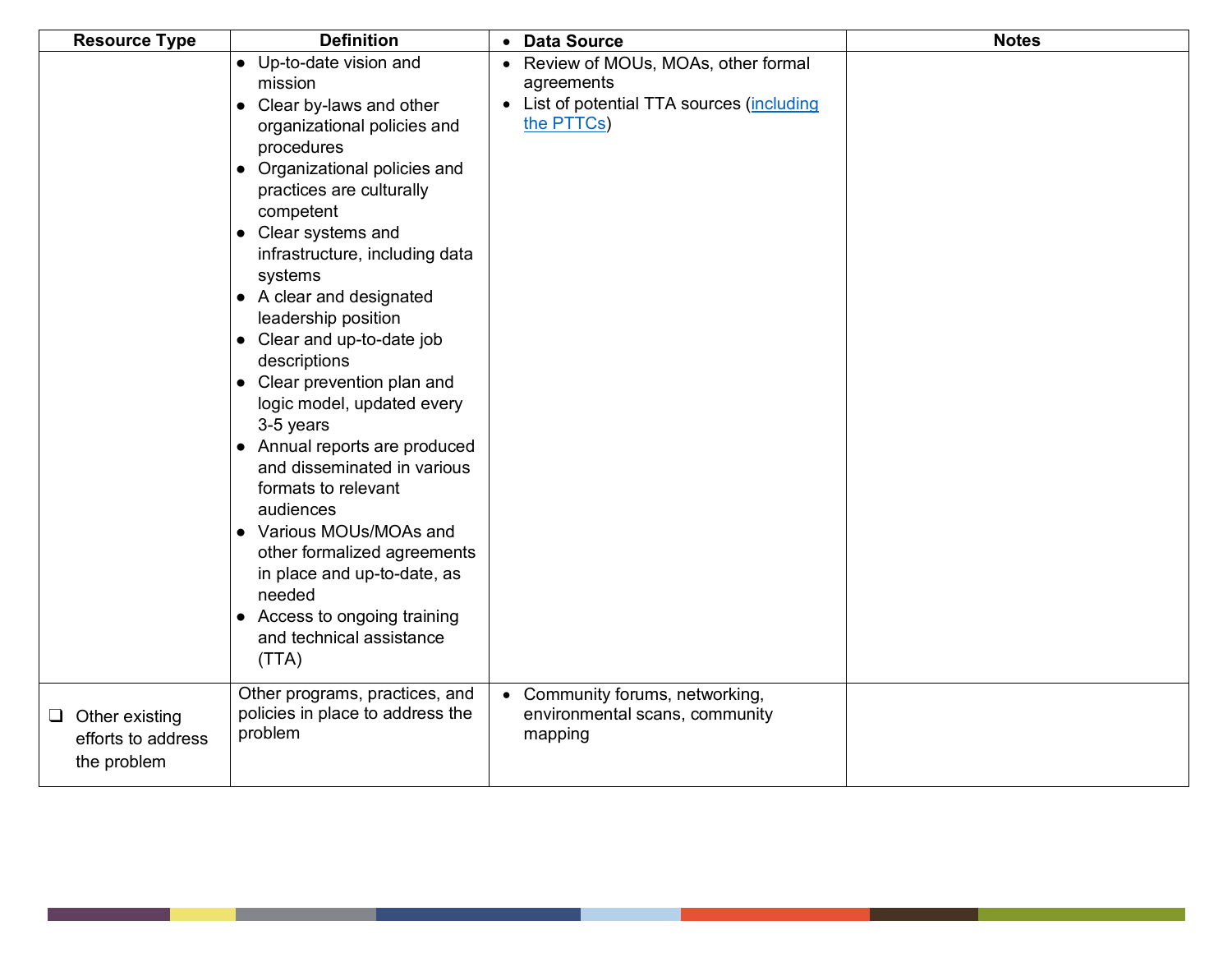| <b>Resource Type</b>                                       | <b>Definition</b>                                                                                                                                                                                                                                                                                                                                                                                                                                                                                                                                                                                                                                                                                                 | • Data Source                                                                                                  | <b>Notes</b> |
|------------------------------------------------------------|-------------------------------------------------------------------------------------------------------------------------------------------------------------------------------------------------------------------------------------------------------------------------------------------------------------------------------------------------------------------------------------------------------------------------------------------------------------------------------------------------------------------------------------------------------------------------------------------------------------------------------------------------------------------------------------------------------------------|----------------------------------------------------------------------------------------------------------------|--------------|
|                                                            | • Up-to-date vision and<br>mission<br>• Clear by-laws and other<br>organizational policies and<br>procedures<br>• Organizational policies and<br>practices are culturally<br>competent<br>• Clear systems and<br>infrastructure, including data<br>systems<br>• A clear and designated<br>leadership position<br>• Clear and up-to-date job<br>descriptions<br>• Clear prevention plan and<br>logic model, updated every<br>3-5 years<br>• Annual reports are produced<br>and disseminated in various<br>formats to relevant<br>audiences<br>• Various MOUs/MOAs and<br>other formalized agreements<br>in place and up-to-date, as<br>needed<br>• Access to ongoing training<br>and technical assistance<br>(TTA) | • Review of MOUs, MOAs, other formal<br>agreements<br>• List of potential TTA sources (including<br>the PTTCs) |              |
| $\Box$ Other existing<br>efforts to address<br>the problem | Other programs, practices, and<br>policies in place to address the<br>problem                                                                                                                                                                                                                                                                                                                                                                                                                                                                                                                                                                                                                                     | • Community forums, networking,<br>environmental scans, community<br>mapping                                   |              |